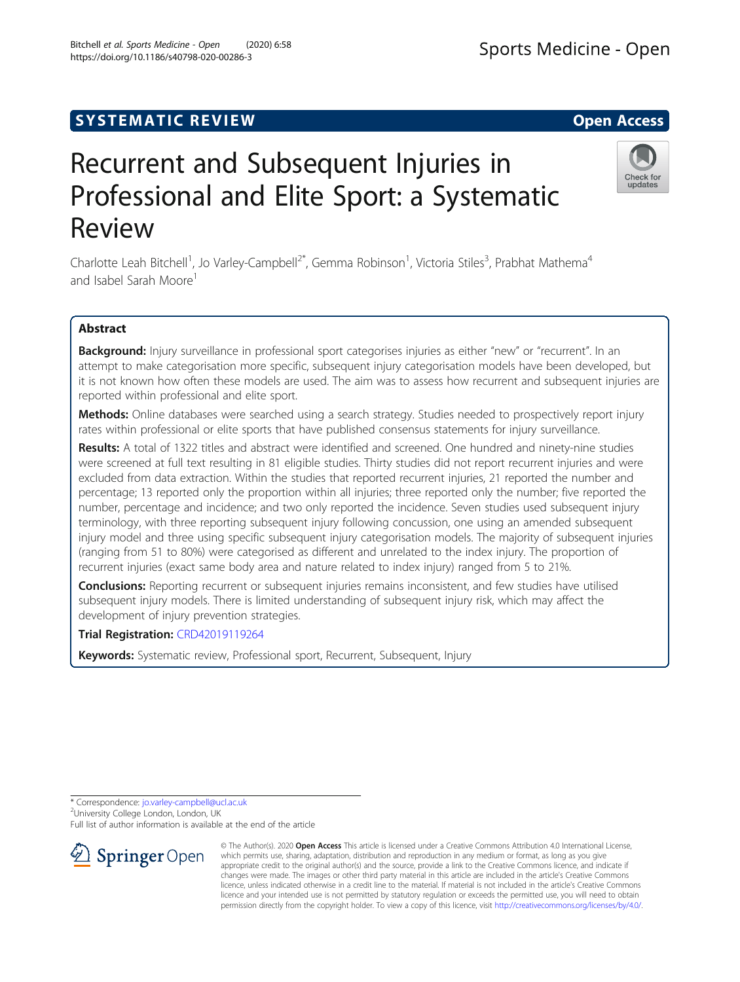# **SYSTEMATIC REVIEW ACCESS**

# Recurrent and Subsequent Injuries in Professional and Elite Sport: a Systematic Review

Charlotte Leah Bitchell<sup>1</sup>, Jo Varley-Campbell<sup>2\*</sup>, Gemma Robinson<sup>1</sup>, Victoria Stiles<sup>3</sup>, Prabhat Mathema<sup>4</sup> and Isabel Sarah Moore<sup>1</sup>

# Abstract

Background: Injury surveillance in professional sport categorises injuries as either "new" or "recurrent". In an attempt to make categorisation more specific, subsequent injury categorisation models have been developed, but it is not known how often these models are used. The aim was to assess how recurrent and subsequent injuries are reported within professional and elite sport.

Methods: Online databases were searched using a search strategy. Studies needed to prospectively report injury rates within professional or elite sports that have published consensus statements for injury surveillance.

Results: A total of 1322 titles and abstract were identified and screened. One hundred and ninety-nine studies were screened at full text resulting in 81 eligible studies. Thirty studies did not report recurrent injuries and were excluded from data extraction. Within the studies that reported recurrent injuries, 21 reported the number and percentage; 13 reported only the proportion within all injuries; three reported only the number; five reported the number, percentage and incidence; and two only reported the incidence. Seven studies used subsequent injury terminology, with three reporting subsequent injury following concussion, one using an amended subsequent injury model and three using specific subsequent injury categorisation models. The majority of subsequent injuries (ranging from 51 to 80%) were categorised as different and unrelated to the index injury. The proportion of recurrent injuries (exact same body area and nature related to index injury) ranged from 5 to 21%.

**Conclusions:** Reporting recurrent or subsequent injuries remains inconsistent, and few studies have utilised subsequent injury models. There is limited understanding of subsequent injury risk, which may affect the development of injury prevention strategies.

Trial Registration: [CRD42019119264](https://www.crd.york.ac.uk/prospero/display_record.php?RecordID=119264)

Keywords: Systematic review, Professional sport, Recurrent, Subsequent, Injury

\* Correspondence: [jo.varley-campbell@ucl.ac.uk](mailto:jo.varley-campbell@ucl.ac.uk) <sup>2</sup>

<sup>2</sup>University College London, London, UK

Full list of author information is available at the end of the article



© The Author(s). 2020 Open Access This article is licensed under a Creative Commons Attribution 4.0 International License, which permits use, sharing, adaptation, distribution and reproduction in any medium or format, as long as you give appropriate credit to the original author(s) and the source, provide a link to the Creative Commons licence, and indicate if changes were made. The images or other third party material in this article are included in the article's Creative Commons licence, unless indicated otherwise in a credit line to the material. If material is not included in the article's Creative Commons licence and your intended use is not permitted by statutory regulation or exceeds the permitted use, you will need to obtain permission directly from the copyright holder. To view a copy of this licence, visit <http://creativecommons.org/licenses/by/4.0/>.



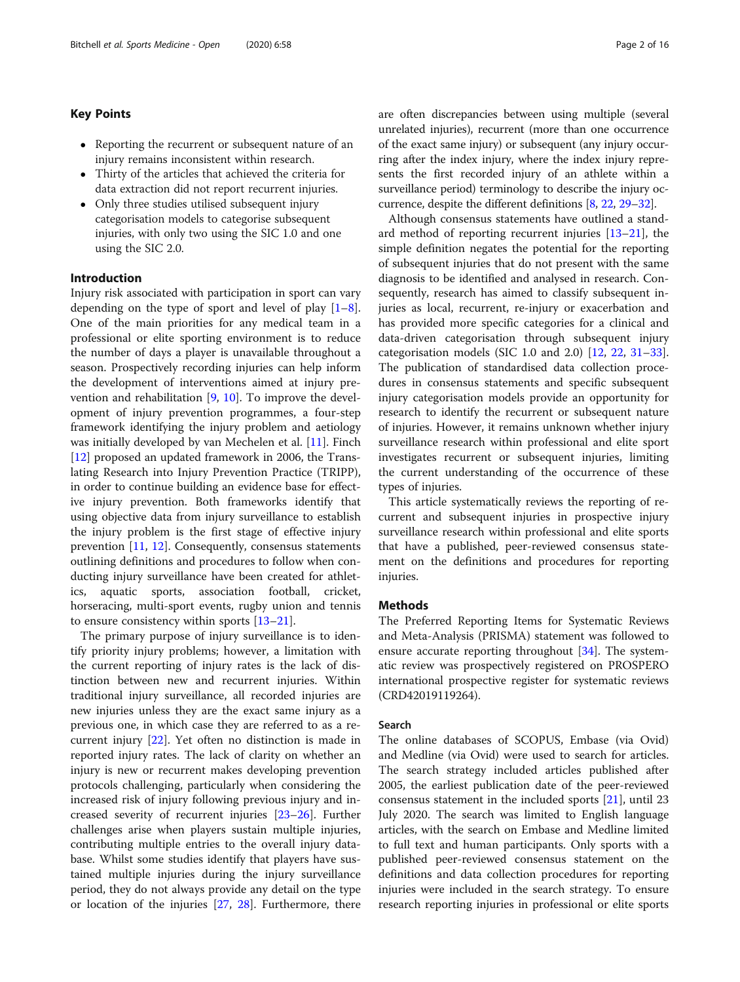## Key Points

- Reporting the recurrent or subsequent nature of an injury remains inconsistent within research.
- Thirty of the articles that achieved the criteria for data extraction did not report recurrent injuries.
- Only three studies utilised subsequent injury categorisation models to categorise subsequent injuries, with only two using the SIC 1.0 and one using the SIC 2.0.

### Introduction

Injury risk associated with participation in sport can vary depending on the type of sport and level of play  $[1-8]$  $[1-8]$  $[1-8]$  $[1-8]$ . One of the main priorities for any medical team in a professional or elite sporting environment is to reduce the number of days a player is unavailable throughout a season. Prospectively recording injuries can help inform the development of interventions aimed at injury prevention and rehabilitation [[9](#page-13-0), [10\]](#page-13-0). To improve the development of injury prevention programmes, a four-step framework identifying the injury problem and aetiology was initially developed by van Mechelen et al. [[11\]](#page-13-0). Finch [[12\]](#page-13-0) proposed an updated framework in 2006, the Translating Research into Injury Prevention Practice (TRIPP), in order to continue building an evidence base for effective injury prevention. Both frameworks identify that using objective data from injury surveillance to establish the injury problem is the first stage of effective injury prevention [\[11,](#page-13-0) [12](#page-13-0)]. Consequently, consensus statements outlining definitions and procedures to follow when conducting injury surveillance have been created for athletics, aquatic sports, association football, cricket, horseracing, multi-sport events, rugby union and tennis to ensure consistency within sports [\[13](#page-13-0)–[21\]](#page-13-0).

The primary purpose of injury surveillance is to identify priority injury problems; however, a limitation with the current reporting of injury rates is the lack of distinction between new and recurrent injuries. Within traditional injury surveillance, all recorded injuries are new injuries unless they are the exact same injury as a previous one, in which case they are referred to as a recurrent injury [[22\]](#page-13-0). Yet often no distinction is made in reported injury rates. The lack of clarity on whether an injury is new or recurrent makes developing prevention protocols challenging, particularly when considering the increased risk of injury following previous injury and increased severity of recurrent injuries [[23](#page-13-0)–[26](#page-14-0)]. Further challenges arise when players sustain multiple injuries, contributing multiple entries to the overall injury database. Whilst some studies identify that players have sustained multiple injuries during the injury surveillance period, they do not always provide any detail on the type or location of the injuries [[27,](#page-14-0) [28](#page-14-0)]. Furthermore, there are often discrepancies between using multiple (several unrelated injuries), recurrent (more than one occurrence of the exact same injury) or subsequent (any injury occurring after the index injury, where the index injury represents the first recorded injury of an athlete within a surveillance period) terminology to describe the injury occurrence, despite the different definitions [[8](#page-13-0), [22,](#page-13-0) [29](#page-14-0)–[32\]](#page-14-0).

Although consensus statements have outlined a standard method of reporting recurrent injuries [[13](#page-13-0)–[21](#page-13-0)], the simple definition negates the potential for the reporting of subsequent injuries that do not present with the same diagnosis to be identified and analysed in research. Consequently, research has aimed to classify subsequent injuries as local, recurrent, re-injury or exacerbation and has provided more specific categories for a clinical and data-driven categorisation through subsequent injury categorisation models (SIC 1.0 and 2.0) [\[12](#page-13-0), [22,](#page-13-0) [31](#page-14-0)–[33](#page-14-0)]. The publication of standardised data collection procedures in consensus statements and specific subsequent injury categorisation models provide an opportunity for research to identify the recurrent or subsequent nature of injuries. However, it remains unknown whether injury surveillance research within professional and elite sport investigates recurrent or subsequent injuries, limiting the current understanding of the occurrence of these types of injuries.

This article systematically reviews the reporting of recurrent and subsequent injuries in prospective injury surveillance research within professional and elite sports that have a published, peer-reviewed consensus statement on the definitions and procedures for reporting injuries.

#### Methods

The Preferred Reporting Items for Systematic Reviews and Meta-Analysis (PRISMA) statement was followed to ensure accurate reporting throughout [\[34](#page-14-0)]. The systematic review was prospectively registered on PROSPERO international prospective register for systematic reviews (CRD42019119264).

#### Search

The online databases of SCOPUS, Embase (via Ovid) and Medline (via Ovid) were used to search for articles. The search strategy included articles published after 2005, the earliest publication date of the peer-reviewed consensus statement in the included sports [\[21](#page-13-0)], until 23 July 2020. The search was limited to English language articles, with the search on Embase and Medline limited to full text and human participants. Only sports with a published peer-reviewed consensus statement on the definitions and data collection procedures for reporting injuries were included in the search strategy. To ensure research reporting injuries in professional or elite sports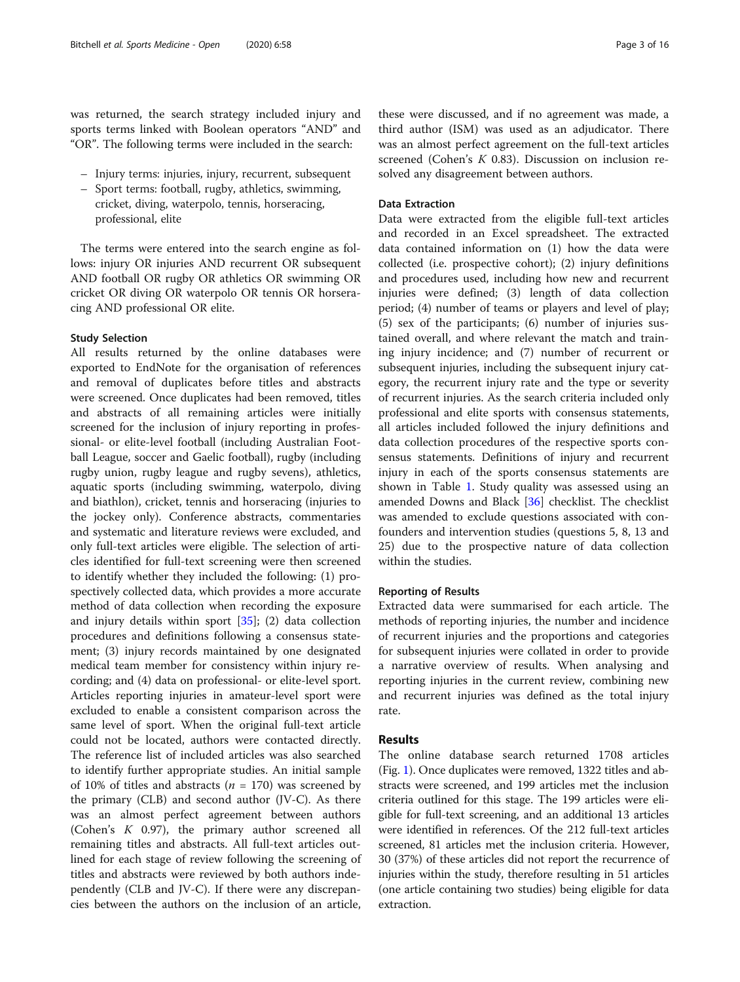was returned, the search strategy included injury and sports terms linked with Boolean operators "AND" and "OR". The following terms were included in the search:

- Injury terms: injuries, injury, recurrent, subsequent
- Sport terms: football, rugby, athletics, swimming, cricket, diving, waterpolo, tennis, horseracing, professional, elite

The terms were entered into the search engine as follows: injury OR injuries AND recurrent OR subsequent AND football OR rugby OR athletics OR swimming OR cricket OR diving OR waterpolo OR tennis OR horseracing AND professional OR elite.

#### Study Selection

All results returned by the online databases were exported to EndNote for the organisation of references and removal of duplicates before titles and abstracts were screened. Once duplicates had been removed, titles and abstracts of all remaining articles were initially screened for the inclusion of injury reporting in professional- or elite-level football (including Australian Football League, soccer and Gaelic football), rugby (including rugby union, rugby league and rugby sevens), athletics, aquatic sports (including swimming, waterpolo, diving and biathlon), cricket, tennis and horseracing (injuries to the jockey only). Conference abstracts, commentaries and systematic and literature reviews were excluded, and only full-text articles were eligible. The selection of articles identified for full-text screening were then screened to identify whether they included the following: (1) prospectively collected data, which provides a more accurate method of data collection when recording the exposure and injury details within sport [[35\]](#page-14-0); (2) data collection procedures and definitions following a consensus statement; (3) injury records maintained by one designated medical team member for consistency within injury recording; and (4) data on professional- or elite-level sport. Articles reporting injuries in amateur-level sport were excluded to enable a consistent comparison across the same level of sport. When the original full-text article could not be located, authors were contacted directly. The reference list of included articles was also searched to identify further appropriate studies. An initial sample of 10% of titles and abstracts ( $n = 170$ ) was screened by the primary (CLB) and second author (JV-C). As there was an almost perfect agreement between authors (Cohen's K 0.97), the primary author screened all remaining titles and abstracts. All full-text articles outlined for each stage of review following the screening of titles and abstracts were reviewed by both authors independently (CLB and JV-C). If there were any discrepancies between the authors on the inclusion of an article,

these were discussed, and if no agreement was made, a third author (ISM) was used as an adjudicator. There was an almost perfect agreement on the full-text articles screened (Cohen's K 0.83). Discussion on inclusion resolved any disagreement between authors.

#### Data Extraction

Data were extracted from the eligible full-text articles and recorded in an Excel spreadsheet. The extracted data contained information on (1) how the data were collected (i.e. prospective cohort); (2) injury definitions and procedures used, including how new and recurrent injuries were defined; (3) length of data collection period; (4) number of teams or players and level of play; (5) sex of the participants; (6) number of injuries sustained overall, and where relevant the match and training injury incidence; and (7) number of recurrent or subsequent injuries, including the subsequent injury category, the recurrent injury rate and the type or severity of recurrent injuries. As the search criteria included only professional and elite sports with consensus statements, all articles included followed the injury definitions and data collection procedures of the respective sports consensus statements. Definitions of injury and recurrent injury in each of the sports consensus statements are shown in Table [1.](#page-3-0) Study quality was assessed using an amended Downs and Black [\[36](#page-14-0)] checklist. The checklist was amended to exclude questions associated with confounders and intervention studies (questions 5, 8, 13 and 25) due to the prospective nature of data collection within the studies.

#### Reporting of Results

Extracted data were summarised for each article. The methods of reporting injuries, the number and incidence of recurrent injuries and the proportions and categories for subsequent injuries were collated in order to provide a narrative overview of results. When analysing and reporting injuries in the current review, combining new and recurrent injuries was defined as the total injury rate.

#### Results

The online database search returned 1708 articles (Fig. [1](#page-4-0)). Once duplicates were removed, 1322 titles and abstracts were screened, and 199 articles met the inclusion criteria outlined for this stage. The 199 articles were eligible for full-text screening, and an additional 13 articles were identified in references. Of the 212 full-text articles screened, 81 articles met the inclusion criteria. However, 30 (37%) of these articles did not report the recurrence of injuries within the study, therefore resulting in 51 articles (one article containing two studies) being eligible for data extraction.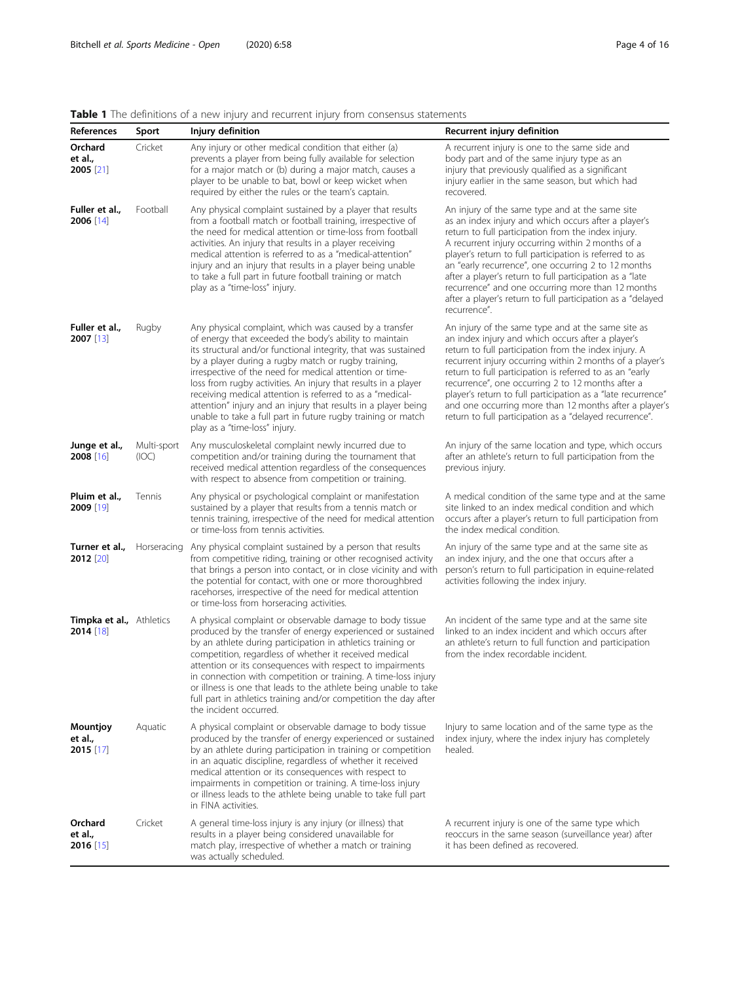# <span id="page-3-0"></span>Table 1 The definitions of a new injury and recurrent injury from consensus statements

| References                                     | Sport                | wie in the administrict of a flew highly and recallent highly from consciisas statements<br>Injury definition                                                                                                                                                                                                                                                                                                                                                                                                                                                                                          | Recurrent injury definition                                                                                                                                                                                                                                                                                                                                                                                                                                                                                                           |
|------------------------------------------------|----------------------|--------------------------------------------------------------------------------------------------------------------------------------------------------------------------------------------------------------------------------------------------------------------------------------------------------------------------------------------------------------------------------------------------------------------------------------------------------------------------------------------------------------------------------------------------------------------------------------------------------|---------------------------------------------------------------------------------------------------------------------------------------------------------------------------------------------------------------------------------------------------------------------------------------------------------------------------------------------------------------------------------------------------------------------------------------------------------------------------------------------------------------------------------------|
| Orchard<br>et al.,<br>$2005$ [21]              | Cricket              | Any injury or other medical condition that either (a)<br>prevents a player from being fully available for selection<br>for a major match or (b) during a major match, causes a<br>player to be unable to bat, bowl or keep wicket when<br>required by either the rules or the team's captain.                                                                                                                                                                                                                                                                                                          | A recurrent injury is one to the same side and<br>body part and of the same injury type as an<br>injury that previously qualified as a significant<br>injury earlier in the same season, but which had<br>recovered.                                                                                                                                                                                                                                                                                                                  |
| Fuller et al.,<br>2006 [14]                    | Football             | Any physical complaint sustained by a player that results<br>from a football match or football training, irrespective of<br>the need for medical attention or time-loss from football<br>activities. An injury that results in a player receiving<br>medical attention is referred to as a "medical-attention"<br>injury and an injury that results in a player being unable<br>to take a full part in future football training or match<br>play as a "time-loss" injury.                                                                                                                              | An injury of the same type and at the same site<br>as an index injury and which occurs after a player's<br>return to full participation from the index injury.<br>A recurrent injury occurring within 2 months of a<br>player's return to full participation is referred to as<br>an "early recurrence", one occurring 2 to 12 months<br>after a player's return to full participation as a "late<br>recurrence" and one occurring more than 12 months<br>after a player's return to full participation as a "delayed<br>recurrence". |
| Fuller et al.,<br>$2007$ [13]                  | Rugby                | Any physical complaint, which was caused by a transfer<br>of energy that exceeded the body's ability to maintain<br>its structural and/or functional integrity, that was sustained<br>by a player during a rugby match or rugby training,<br>irrespective of the need for medical attention or time-<br>loss from rugby activities. An injury that results in a player<br>receiving medical attention is referred to as a "medical-<br>attention" injury and an injury that results in a player being<br>unable to take a full part in future rugby training or match<br>play as a "time-loss" injury. | An injury of the same type and at the same site as<br>an index injury and which occurs after a player's<br>return to full participation from the index injury. A<br>recurrent injury occurring within 2 months of a player's<br>return to full participation is referred to as an "early<br>recurrence", one occurring 2 to 12 months after a<br>player's return to full participation as a "late recurrence"<br>and one occurring more than 12 months after a player's<br>return to full participation as a "delayed recurrence".    |
| Junge et al.,<br>2008 [16]                     | Multi-sport<br>(IOC) | Any musculoskeletal complaint newly incurred due to<br>competition and/or training during the tournament that<br>received medical attention regardless of the consequences<br>with respect to absence from competition or training.                                                                                                                                                                                                                                                                                                                                                                    | An injury of the same location and type, which occurs<br>after an athlete's return to full participation from the<br>previous injury.                                                                                                                                                                                                                                                                                                                                                                                                 |
| Pluim et al.,<br>2009 [19]                     | Tennis               | Any physical or psychological complaint or manifestation<br>sustained by a player that results from a tennis match or<br>tennis training, irrespective of the need for medical attention<br>or time-loss from tennis activities.                                                                                                                                                                                                                                                                                                                                                                       | A medical condition of the same type and at the same<br>site linked to an index medical condition and which<br>occurs after a player's return to full participation from<br>the index medical condition.                                                                                                                                                                                                                                                                                                                              |
| Turner et al.,<br>2012 [20]                    | Horseracing          | Any physical complaint sustained by a person that results<br>from competitive riding, training or other recognised activity<br>that brings a person into contact, or in close vicinity and with<br>the potential for contact, with one or more thoroughbred<br>racehorses, irrespective of the need for medical attention<br>or time-loss from horseracing activities.                                                                                                                                                                                                                                 | An injury of the same type and at the same site as<br>an index injury, and the one that occurs after a<br>person's return to full participation in equine-related<br>activities following the index injury.                                                                                                                                                                                                                                                                                                                           |
| <b>Timpka et al.,</b> Athletics<br>$2014$ [18] |                      | A physical complaint or observable damage to body tissue<br>produced by the transfer of energy experienced or sustained<br>by an athlete during participation in athletics training or<br>competition, regardless of whether it received medical<br>attention or its consequences with respect to impairments<br>in connection with competition or training. A time-loss injury<br>or illness is one that leads to the athlete being unable to take<br>full part in athletics training and/or competition the day after<br>the incident occurred.                                                      | An incident of the same type and at the same site<br>linked to an index incident and which occurs after<br>an athlete's return to full function and participation<br>from the index recordable incident.                                                                                                                                                                                                                                                                                                                              |
| Mountjoy<br>et al.,<br>$2015$ [17]             | Aquatic              | A physical complaint or observable damage to body tissue<br>produced by the transfer of energy experienced or sustained<br>by an athlete during participation in training or competition<br>in an aquatic discipline, regardless of whether it received<br>medical attention or its consequences with respect to<br>impairments in competition or training. A time-loss injury<br>or illness leads to the athlete being unable to take full part<br>in FINA activities.                                                                                                                                | Injury to same location and of the same type as the<br>index injury, where the index injury has completely<br>healed.                                                                                                                                                                                                                                                                                                                                                                                                                 |
| Orchard<br>et al.,<br>$2016$ [15]              | Cricket              | A general time-loss injury is any injury (or illness) that<br>results in a player being considered unavailable for<br>match play, irrespective of whether a match or training<br>was actually scheduled.                                                                                                                                                                                                                                                                                                                                                                                               | A recurrent injury is one of the same type which<br>reoccurs in the same season (surveillance year) after<br>it has been defined as recovered.                                                                                                                                                                                                                                                                                                                                                                                        |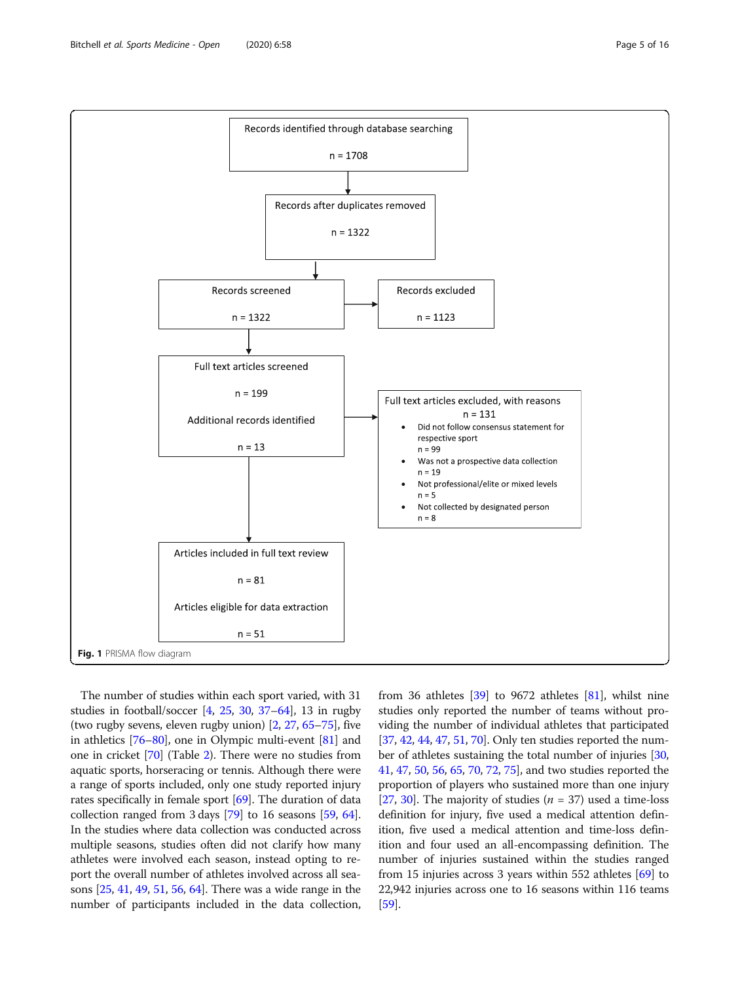<span id="page-4-0"></span>

The number of studies within each sport varied, with 31 studies in football/soccer [\[4,](#page-13-0) [25](#page-13-0), [30](#page-14-0), [37](#page-14-0)–[64](#page-15-0)], 13 in rugby (two rugby sevens, eleven rugby union) [\[2](#page-13-0), [27,](#page-14-0) [65](#page-15-0)–[75\]](#page-15-0), five in athletics [\[76](#page-15-0)–[80](#page-15-0)], one in Olympic multi-event [[81](#page-15-0)] and one in cricket [\[70\]](#page-15-0) (Table [2\)](#page-5-0). There were no studies from aquatic sports, horseracing or tennis. Although there were a range of sports included, only one study reported injury rates specifically in female sport [\[69\]](#page-15-0). The duration of data collection ranged from 3 days [\[79\]](#page-15-0) to 16 seasons [[59](#page-14-0), [64](#page-15-0)]. In the studies where data collection was conducted across multiple seasons, studies often did not clarify how many athletes were involved each season, instead opting to report the overall number of athletes involved across all seasons [\[25,](#page-13-0) [41](#page-14-0), [49,](#page-14-0) [51](#page-14-0), [56,](#page-14-0) [64](#page-15-0)]. There was a wide range in the number of participants included in the data collection, from 36 athletes [\[39\]](#page-14-0) to 9672 athletes [\[81\]](#page-15-0), whilst nine studies only reported the number of teams without providing the number of individual athletes that participated [[37](#page-14-0), [42,](#page-14-0) [44](#page-14-0), [47](#page-14-0), [51,](#page-14-0) [70\]](#page-15-0). Only ten studies reported the number of athletes sustaining the total number of injuries [[30](#page-14-0), [41](#page-14-0), [47,](#page-14-0) [50](#page-14-0), [56,](#page-14-0) [65](#page-15-0), [70,](#page-15-0) [72](#page-15-0), [75\]](#page-15-0), and two studies reported the proportion of players who sustained more than one injury [[27](#page-14-0), [30](#page-14-0)]. The majority of studies ( $n = 37$ ) used a time-loss definition for injury, five used a medical attention definition, five used a medical attention and time-loss definition and four used an all-encompassing definition. The number of injuries sustained within the studies ranged from 15 injuries across 3 years within 552 athletes [[69](#page-15-0)] to 22,942 injuries across one to 16 seasons within 116 teams [[59](#page-14-0)].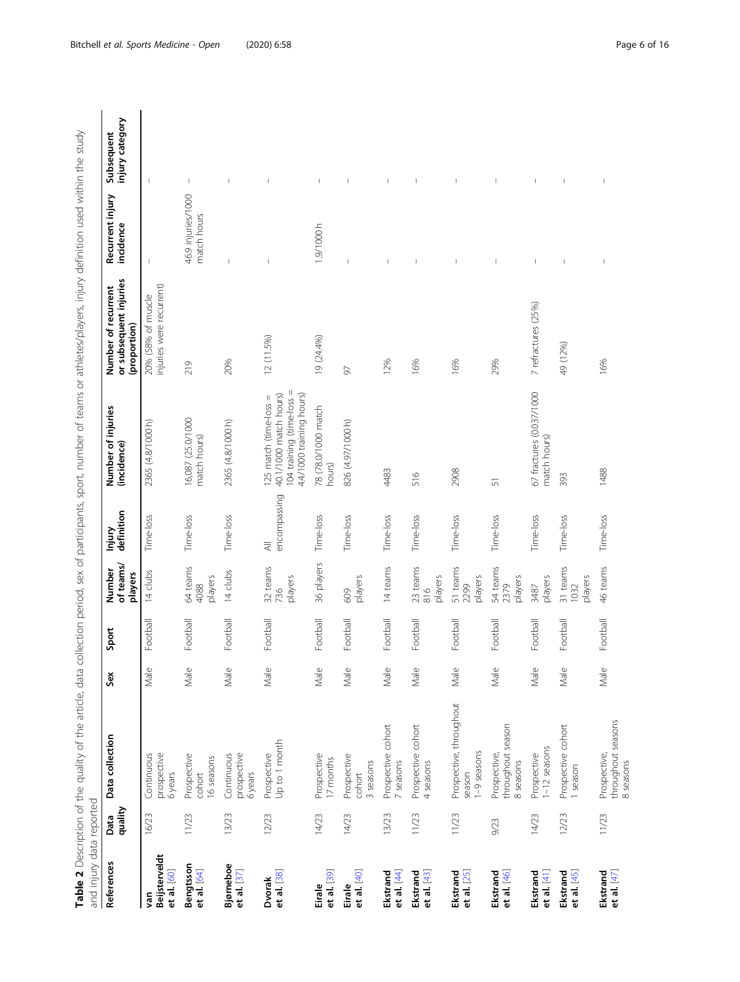Table 2 Description of the quality of the article, data collection period, sex of participants, sport, number of teams or athletes/players, injury definition used within the study<br>and injury data reported Table 2 Description of the quality of the article, data collection period, sex of participants, sport, number of teams or athletes/players, injury definition used within the study and injury data reported

<span id="page-5-0"></span>

| Alban Director                      | フリンソン           |                                                  |      |          |                                        |                                           |                                                                                                           |                                                               |                                   |                               |
|-------------------------------------|-----------------|--------------------------------------------------|------|----------|----------------------------------------|-------------------------------------------|-----------------------------------------------------------------------------------------------------------|---------------------------------------------------------------|-----------------------------------|-------------------------------|
| References                          | quality<br>Data | Data collection                                  | Sex  | Sport    | of teams/<br>Number<br>players         | definition<br>Injury                      | Number of injuries<br>(incidence)                                                                         | or subsequent injuries<br>Number of recurrent<br>(proportion) | Recurrent injury<br>incidence     | injury category<br>Subsequent |
| Beijsterveldt<br>et al. [60]<br>yan | 16/23           | Continuous<br>prospective<br>6years              | Male | Football | 14 clubs                               | Time-loss                                 | 2365 (4.8/1000 h)                                                                                         | injuries were recurrent)<br>20% (58% of muscle                | $\mathbf{I}$                      | $\overline{\phantom{a}}$      |
| Bengtsson<br>et al. [64]            | 11/23           | Prospective<br>6 seasons<br>cohort               | Male | Football | 64 teams<br>players<br>4088            | Time-loss                                 | 16,087 (25.0/1000<br>match hours)                                                                         | 219                                                           | 46.9 injuries/1000<br>match hours | $\mathbf{I}$                  |
| Bjørneboe<br>et al. [37]            | 13/23           | prospective<br>Continuous<br>6 years             | Male | Football | 14 clubs                               | Time-loss                                 | 2365 (4.8/1000 h)                                                                                         | 20%                                                           | $\overline{\phantom{a}}$          | $\overline{\phantom{a}}$      |
| et al. [38]<br>Dvorak               | 12/23           | Jp to 1 month<br>Prospective                     | Male | Football | 32 teams<br>players<br>736             | encompassing<br>$\overline{\overline{z}}$ | 104 training (time-loss =<br>4.4/1000 training hours)<br>40.1/1000 match hours)<br>125 match (time-loss = | 12 (11.5%)                                                    |                                   |                               |
| et al. [39]<br>Eirale               | 14/23           | Prospective<br>I7 months                         | Male | Football | 36 players                             | Time-loss                                 | 78 (78.0/1000 match<br>hours)                                                                             | 19 (24.4%)                                                    | 1.9/1000h                         | $\mathsf{I}$                  |
| et al. [40]<br>Eirale               | 14/23           | Prospective<br>3 seasons<br>cohort               | Male | Football | players<br>609                         | Time-loss                                 | 826 (4.97/1000 h)                                                                                         | 50                                                            |                                   |                               |
| et al. $[44]$<br>Ekstrand           | 13/23           | Prospective cohort<br>7 seasons                  | Male | Football | 14 teams                               | Time-loss                                 | 4483                                                                                                      | 12%                                                           | I                                 |                               |
| et al. [43]<br>Ekstrand             | 11/23           | Prospective cohort<br>4 seasons                  | Male | Football | 23 teams<br>players<br>$\frac{816}{5}$ | Time-loss                                 | 516                                                                                                       | 16%                                                           | T                                 | I                             |
| Ekstrand<br>et al. [25]             | 11/23           | Prospective, throughout<br>1-9 seasons<br>season | Male | Football | 51 teams<br>players<br>2299            | Time-loss                                 | 2908                                                                                                      | 16%                                                           | T                                 | I                             |
| et al. [46]<br>Ekstrand             | 9/23            | throughout season<br>Prospective,<br>8 seasons   | Male | Football | 54 teams<br>players<br>2379            | Time-loss                                 | 51                                                                                                        | 29%                                                           | $\mathbf{I}$                      |                               |
| Ekstrand<br>et al. $[4]$            | 14/23           | l-12 seasons<br>Prospective                      | Male | Football | players<br>3487                        | Time-loss                                 | 67 fractures (0.037/1000<br>match hours)                                                                  | 7 refractures (25%)                                           | $\mathsf I$                       | $\mathbf{I}$                  |
| Ekstrand<br>et al. $[45]$           | 12/23           | Prospective cohort<br>I season                   | Male | Football | 31 teams<br>players<br>1032            | Time-loss                                 | 393                                                                                                       | 49 (12%)                                                      | J.                                | $\mathbf{I}$                  |
| Ekstrand<br>et al. $[47]$           | 11/23           | throughout seasons<br>Prospective,<br>8 seasons  | Male | Football | 46 teams                               | Time-loss                                 | 1488                                                                                                      | 16%                                                           | $\overline{\phantom{a}}$          | I                             |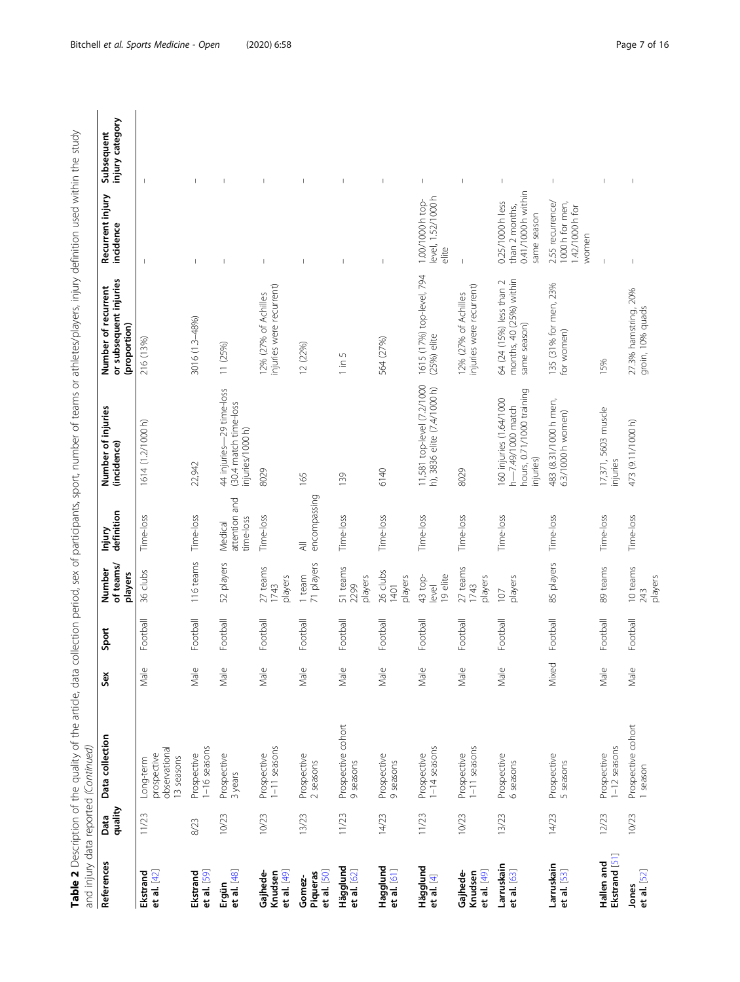| Ī<br>Ĵ<br>١<br>i<br>I                                                                                                              |                                    |
|------------------------------------------------------------------------------------------------------------------------------------|------------------------------------|
| ¢<br>į                                                                                                                             |                                    |
| 1<br>1<br>1<br>1<br>1<br>1<br>1<br>1<br>1<br>1<br><br><br><br><br><br><br><br><br><br><br><br><br><br><br><br><br>)<br>)<br>S<br>1 |                                    |
| ļ<br>i<br>I<br>j<br>-<br>-<br>-<br>j<br>j<br>Ś                                                                                     |                                    |
| Ī<br>J<br>i<br>$\overline{\phantom{a}}$<br>ام/مصدر اما+میہ<br>I<br>うりりり<br>١<br>j                                                  |                                    |
| ;<br>$\overline{ }$<br>$\vdots$<br>$-7$<br>5) }<br>l<br>Ì<br>$\overline{ }$                                                        |                                    |
| .<br>Common the control<br>$\frac{1}{2}$<br>١<br>Ś<br>Ì                                                                            |                                    |
| $5 - 5 + 2 = 2$<br>ì<br>5<br>j<br>j<br>j                                                                                           |                                    |
| L COV Of POPER<br>$\ddot{\phantom{0}}$<br>j<br>l<br>ī<br>5<br>i                                                                    |                                    |
| s<br>S<br>うしりりりりり<br>$\frac{1}{2}$ $\frac{1}{2}$                                                                                   |                                    |
| 5<br>J<br>١                                                                                                                        |                                    |
| i                                                                                                                                  | ١<br>5                             |
| $-0.0$ and $-0.0$                                                                                                                  | j                                  |
|                                                                                                                                    | うりょ<br>!<br>Ç<br>)<br>D<br>l<br>J  |
| )<br>I<br>I                                                                                                                        | -<br>3<br>$\frac{1}{2}$<br>j       |
|                                                                                                                                    | $\overline{\phantom{a}}$<br>₹<br>ç |

|                                    |                 | and injury data reported (Continued)                    |       |          |                                |                                       |                                                                                        |                                                                     |                                                                         |                                |
|------------------------------------|-----------------|---------------------------------------------------------|-------|----------|--------------------------------|---------------------------------------|----------------------------------------------------------------------------------------|---------------------------------------------------------------------|-------------------------------------------------------------------------|--------------------------------|
| References                         | quality<br>Data | Data collection                                         | Sex   | Sport    | of teams/<br>Number<br>players | definition<br>lnjury                  | Number of injuries<br>(incidence)                                                      | or subsequent injuries<br>Number of recurrent<br>(proportion)       | Recurrent injury<br>incidence                                           | Subsequent<br>injury category  |
| et al. $[42]$<br>Ekstrand          | 11/23           | observational<br>prospective<br>13 seasons<br>Long-term | Male  | Football | 36 clubs                       | Time-loss                             | 1614 (1.2/1000 h)                                                                      | 216 (13%)                                                           |                                                                         |                                |
| et al. [59]<br>Ekstrand            | 8/23            | l-16 seasons<br>Prospective                             | Male  | Football | 116 teams                      | Time-loss                             | 22,942                                                                                 | 3016 (1.3-48%)                                                      | $\overline{\phantom{a}}$                                                | $\overline{\phantom{a}}$       |
| et al. [48]<br>Ergün               | 10/23           | Prospective<br>3 years                                  | Male  | Football | 52 players                     | attention and<br>time-loss<br>Medical | 44 injuries-29 time-loss<br>(30.4 match time-loss<br>injuries/1000 h)                  | 11 (25%)                                                            | $\mathbf{I}$                                                            | $\mathbf{I}$                   |
| et al. [49]<br>Gajhede-<br>Knudsen | 10/23           | $1-11$ seasons<br>Prospective                           | Male  | Football | 27 teams<br>players<br>1743    | Time-loss                             | 8029                                                                                   | injuries were recurrent)<br>12% (27% of Achilles                    | $\mathbf{I}$                                                            |                                |
| et al. [50]<br>Piqueras<br>Gomez-  | 13/23           | Prospective<br>2 seasons                                | Male  | Football | 71 players<br>1 team           | encompassing<br>$\equiv$              | 165                                                                                    | 12 (22%)                                                            | $\overline{\phantom{a}}$                                                |                                |
| Hägglund<br>et al. [62]            | 11/23           | Prospective cohort<br>9 seasons                         | Male  | Football | 51 teams<br>players<br>2299    | Time-loss                             | 139                                                                                    | $\overline{5}$<br>$\frac{1}{\sqrt{2}}$                              | $\mathbf{I}$                                                            |                                |
| Hagglund<br>et al. [61]            | 14/23           | Prospective<br>9 seasons                                | Male  | Football | 26 clubs<br>players<br>1401    | Time-loss                             | 6140                                                                                   | 564 (27%)                                                           | $\mathsf I$                                                             |                                |
| Hägglund<br>et al. [4]             | 11/23           | $-14$ seasons<br>Prospective                            | Male  | Football | 19 elite<br>43 top-<br>level   | Time-loss                             | 11,581 top-level (7.2/1000<br>h), 3836 elite (7.4/1000 h)                              | 1615 (17%) top-level, 794<br>$(25%)$ elite                          | level, 1.52/1000 h<br>1.00/1000 h top-<br>elite                         | -                              |
| et al. [49]<br>Gajhede-<br>Knudsen | 10/23           | $-11$ seasons<br>Prospective                            | Male  | Football | 27 teams<br>players<br>1743    | Time-loss                             | 8029                                                                                   | injuries were recurrent)<br>12% (27% of Achilles                    |                                                                         |                                |
| Larruskain<br>et al. [63]          | 13/23           | Prospective<br>6 seasons                                | Male  | Football | players<br>107                 | Time-loss                             | hours, 0.71/1000 training<br>160 injuries (1.64/1000<br>h-7.49/1000 match<br>injuries) | months, 40 (25%) within<br>64 (24 (15%) less than 2<br>same season) | 0.41/1000 h within<br>0.25/1000 h less<br>than 2 months,<br>same season |                                |
| Larruskain<br>et al. [53]          | 14/23           | Prospective<br>5 seasons                                | Mixed | Football | 85 players                     | Time-loss                             | 483 (8.31/1000 h men,<br>6.3/1000 h women)                                             | 135 (31% for men, 23%<br>for women)                                 | 2.55 recurrence/<br>1000 h for men,<br>1.42/1000 h for<br>women         | $\mathsf I$                    |
| Ekstrand [51]<br>Hallen and        | 12/23           | $1 - 12$ seasons<br>Prospective                         | Male  | Football | 89 teams                       | Time-loss                             | 17,371, 5603 muscle<br>injuries                                                        | 15%                                                                 |                                                                         |                                |
| et al. [52]<br>Jones               | 10/23           | Prospective cohort<br>1 season                          | Male  | Football | 10 teams<br>players<br>243     | Time-loss                             | 473 (9.11/1000 h)                                                                      | 27.3% hamstring, 20%<br>groin, 10% quads                            | $\mathbf{I}$                                                            | $\begin{array}{c} \end{array}$ |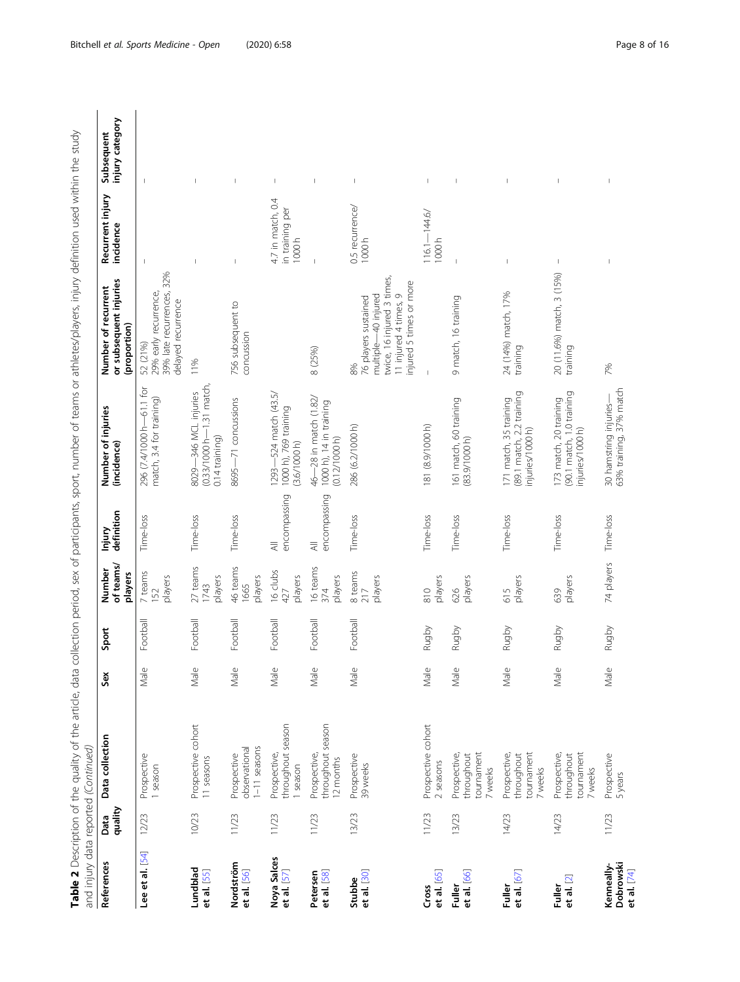| i<br>J                                                                     |                  |
|----------------------------------------------------------------------------|------------------|
| S<br>S<br>D                                                                |                  |
|                                                                            |                  |
|                                                                            |                  |
| )<br>2020<br>2020<br>1                                                     |                  |
|                                                                            |                  |
|                                                                            |                  |
| -<br>-<br>-<br>J<br>1                                                      |                  |
| j                                                                          |                  |
|                                                                            |                  |
| <b>NOPE IN IN</b><br>Ī<br>;                                                |                  |
| ar or athlator/nlar<br>$\frac{5}{2}$                                       |                  |
| うりこう                                                                       |                  |
| 5                                                                          |                  |
|                                                                            |                  |
| )<br>2<br>2<br>2<br>2<br>2<br>2                                            |                  |
| $\overline{\phantom{a}}$                                                   |                  |
| $\frac{1}{2}$                                                              |                  |
|                                                                            |                  |
|                                                                            |                  |
| Ĭ                                                                          |                  |
| j<br>j                                                                     |                  |
|                                                                            |                  |
|                                                                            |                  |
| 4 うくり、                                                                     |                  |
| - data collection period, sex of participants, sport, number of teams<br>5 |                  |
| $\frac{1}{2}$                                                              |                  |
|                                                                            |                  |
|                                                                            |                  |
|                                                                            |                  |
| ăń                                                                         |                  |
|                                                                            |                  |
| $\frac{1}{2}$                                                              |                  |
|                                                                            |                  |
|                                                                            | ׇ֚֘<br>j<br>5    |
|                                                                            |                  |
|                                                                            | I                |
|                                                                            | 5 ) — 1<br>i     |
|                                                                            |                  |
| ֖֖֖֧ׅׅׅ֧֖֖֧֚֚֚֚֚֚֚֚֚֚֚֚֚֚֚֚֚֚֚֚֚֚֚֚֚֚֚֚֚֚֚֡֝֓֡֡֡֡֓֞֡֡֡֓֞֝֬֞֝<br>١          | ;<br>;<br>;<br>5 |
| ι<br>I                                                                     | <b>?</b>         |
| ֜֡                                                                         |                  |
| l                                                                          | Ó                |

| and injury data reported (Continued)   |                 |                                                     |      |          |                                |                                           |                                                                         |                                                                                                                                              |                                               |                                |
|----------------------------------------|-----------------|-----------------------------------------------------|------|----------|--------------------------------|-------------------------------------------|-------------------------------------------------------------------------|----------------------------------------------------------------------------------------------------------------------------------------------|-----------------------------------------------|--------------------------------|
| References                             | quality<br>Data | Data collection                                     | Sex  | Sport    | of teams/<br>Number<br>players | definition<br>Injury                      | Number of injuries<br>(incidence)                                       | or subsequent injuries<br>Number of recurrent<br>(proportion)                                                                                | Recurrent injury<br>incidence                 | injury category<br>Subsequent  |
| Lee et al. [54]                        | 12/23           | Prospective<br>1 season                             | Male | Football | 7 teams<br>players<br>152      | Time-loss                                 | 296 (7.4/1000 h-61.1 for<br>match, 3.4 for training)                    | 39% late recurrences, 32%<br>29% early recurrence,<br>delayed recurrence<br>52 (21%)                                                         | $\overline{1}$                                | $\begin{array}{c} \end{array}$ |
| Lundblad<br>et al. [55]                | 10/23           | Prospective cohort<br>11 seasons                    | Male | Football | 27 teams<br>players<br>1743    | Time-loss                                 | (0.33/1000 h-1.31 match<br>8029-346 MCL injuries<br>$0.14$ training)    | 11%                                                                                                                                          |                                               |                                |
| Nordström<br>et al. [56]               | 11/23           | $1 - 11$ seasons<br>observational<br>Prospective    | Male | Football | 46 teams<br>players<br>1665    | Time-loss                                 | 8695-71 concussions                                                     | 756 subsequent to<br>concussion                                                                                                              |                                               |                                |
| Noya Salces<br>et al. [57]             | 11/23           | throughout season<br>Prospective,<br>1 season       | Male | Football | 16 clubs<br>players<br>427     | encompassing<br>$\overline{\overline{z}}$ | 1293—524 match (43.5/<br>1000 h), 769 training<br>(3.6/1000 h)          |                                                                                                                                              | 4.7 in match, 0.4<br>in training per<br>1000h | $\overline{\phantom{a}}$       |
| Petersen<br>et al. [58]                | 11/23           | throughout season<br>Prospective,<br>12 months      | Male | Football | 16 teams<br>players<br>374     | encompassing<br>$\equiv$                  | 46-28 in match (1.82/<br>1000 h), 14 in training<br>(0.12/1000 h)       | 8 (25%)                                                                                                                                      |                                               |                                |
| et al. [30]<br>Stubbe                  | 13/23           | Prospective<br>39 weeks                             | Male | Football | 8 teams<br>players<br>217      | Time-loss                                 | 286 (6.2/1000 h)                                                        | twice, 16 injured 3 times,<br>injured 5 times or more<br>multiple-40 injured<br>$\circ$<br>76 players sustained<br>11 injured 4 times,<br>8% | 0.5 recurrence/<br>1000h                      |                                |
| et al. [65]<br>Cross                   | 11/23           | Prospective cohort<br>2 seasons                     | Male | Rugby    | players<br>810                 | Time-loss                                 | 181 (8.9/1000h)                                                         |                                                                                                                                              | $116.1 - 144.6$<br>1000h                      |                                |
| et al. [66]<br>Fuller                  | 13/23           | tournament<br>Prospective,<br>throughout<br>7 weeks | Male | Rugby    | players<br>626                 | Time-loss                                 | 161 match, 60 training<br>(83.9/1000 h)                                 | 9 match, 16 training                                                                                                                         |                                               |                                |
| et al. $[67]$<br>Fuller                | 14/23           | tournament<br>Prospective,<br>throughout<br>7 weeks | Male | Rugby    | players<br>615                 | Time-loss                                 | 171 match, 35 training<br>(89.1 match, 2.2 training<br>njuries/1000 h)  | 24 (14%) match, 17%<br>training                                                                                                              |                                               |                                |
| et al. [2]<br>Fuller                   | 14/23           | tournament<br>Prospective,<br>throughout<br>7 weeks | Male | Rugby    | players<br>639                 | Time-loss                                 | 173 match, 20 training<br>(90.1 match, 1.0 training<br>injuries/1000 h) | 20 (11.6%) match, 3 (15%)<br>training                                                                                                        | $\mathsf I$                                   |                                |
| Dobrowski<br>Kenneally-<br>et al. [74] | 11/23           | Prospective<br>5years                               | Male | Rugby    | 74 players                     | Time-loss                                 | 30 hamstring injuries—<br>63% training, 37% match                       | 7%                                                                                                                                           |                                               |                                |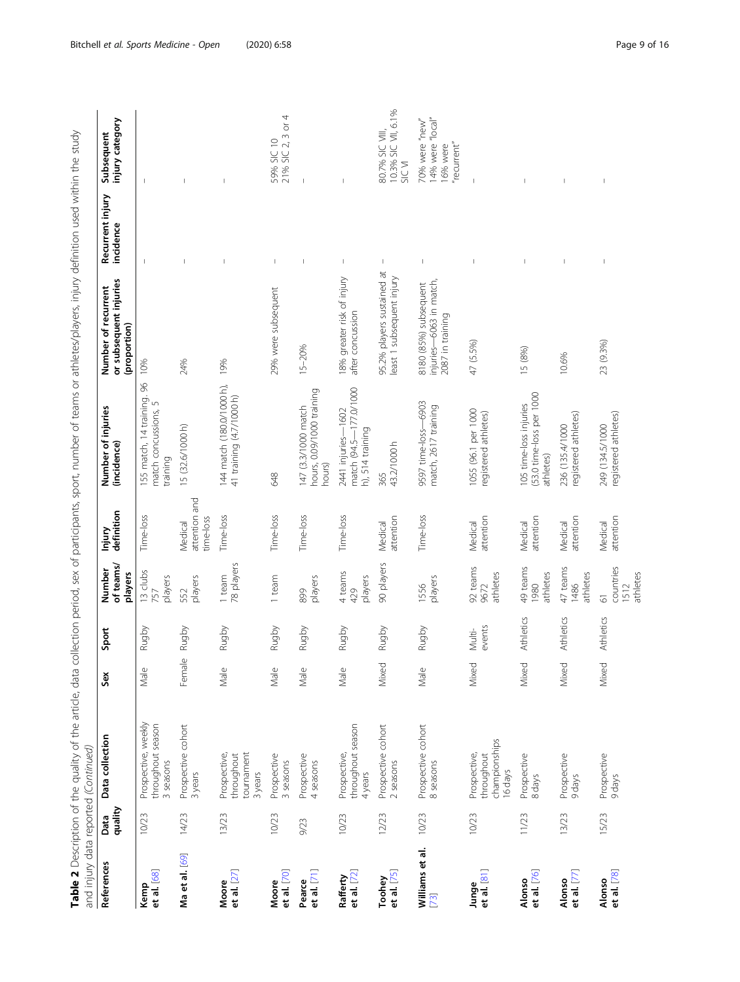| and injury data reported (Continued) |                 |                                                        |        |                  |                                                 |                                       |                                                                         |                                                                      |                                |                                                               |
|--------------------------------------|-----------------|--------------------------------------------------------|--------|------------------|-------------------------------------------------|---------------------------------------|-------------------------------------------------------------------------|----------------------------------------------------------------------|--------------------------------|---------------------------------------------------------------|
| References                           | quality<br>Data | Data collection                                        | Sex    | Sport            | of teams/<br>Number<br>players                  | definition<br>Injury                  | Number of injuries<br>(incidence)                                       | or subsequent injuries<br>Number of recurrent<br>(proportion)        | Recurrent injury<br>incidence  | injury category<br>Subsequent                                 |
| Kemp<br>et al. [68]                  | 10/23           | Prospective, weekly<br>throughout season<br>3 seasons  | Male   | Rugby            | 13 clubs<br>players<br>757                      | Time-loss                             | 155 match, 14 training. 96<br>match concussions, 5<br>training          | 10%                                                                  |                                |                                                               |
| Ma et al. [69]                       | 14/23           | Prospective cohort<br>3 years                          | Female | Rugby            | players<br>552                                  | attention and<br>time-loss<br>Medical | 15 (32.6/1000 h)                                                        | 24%                                                                  | $\overline{1}$                 |                                                               |
| et al. $[27]$<br>Moore               | 13/23           | tournament<br>Prospective,<br>throughout<br>3 years    | Male   | Rugby            | 78 players<br>1 team                            | Time-loss                             | 144 match (180.0/1000 h),<br>41 training (4.7/1000 h)                   | 19%                                                                  | $\overline{1}$                 |                                                               |
| et al. $[70]$<br>Moore               | 10/23           | Prospective<br>3 seasons                               | Male   | Rugby            | 1 team                                          | Time-loss                             | 648                                                                     | 29% were subsequent                                                  | $\begin{array}{c} \end{array}$ | 4<br>21% SIC 2, 3 or<br>59% SIC 10                            |
| et al. $[71]$<br>Pearce              | 9/23            | Prospective<br>4 seasons                               | Male   | Rugby            | players<br>899                                  | Time-loss                             | hours, 0.09/1000 training<br>147 (3.3/1000 match<br>hours)              | 15-20%                                                               | I                              |                                                               |
| et al. $[72]$<br>Rafferty            | 10/23           | throughout season<br>Prospective,<br>4 years           | Male   | Rugby            | 4 teams<br>players<br>429                       | Time-loss                             | $-177.0/1000$<br>2441 injuries-1602<br>h), 514 training<br>match (94.5- | 18% greater risk of injury<br>after concussion                       | $\mathsf I$                    |                                                               |
| et al. [75]<br>Toohey                | 12/23           | Prospective cohort<br>2 seasons                        | Mixed  | Rugby            | 90 players                                      | attention<br>Medical                  | 43.2/1000 h<br>365                                                      | 95.2% players sustained at<br>least 1 subsequent injury              | $\mathsf I$                    | 10.3% SIC VII, 6.1%<br>80.7% SIC VIII,<br>SIC VI              |
| Williams et al.<br>$[73]$            | 10/23           | Prospective cohort<br>8 seasons                        | Male   | Rugby            | players<br>1556                                 | Time-loss                             | 9597 time-loss-6903<br>match, 2617 training                             | injuries-6063 in match,<br>8180 (85%) subsequent<br>2087 in training | $\begin{array}{c} \end{array}$ | 14% were "local"<br>70% were "new"<br>"recurrent"<br>16% were |
| et al. [81]<br>Junge                 | 10/23           | championships<br>Prospective,<br>throughout<br>16 days | Mixed  | events<br>Multi- | 92 teams<br>athletes<br>9672                    | attention<br>Medical                  | 1055 (96.1 per 1000<br>registered athletes)                             | 47 (5.5%)                                                            | $\overline{1}$                 |                                                               |
| et al. $[76]$<br>Alonso              | 11/23           | Prospective<br>8 days                                  | Mixed  | Athletics        | 49 teams<br>athletes<br>1980                    | attention<br>Medical                  | (53.0 time-loss per 1000<br>105 time-loss injuries<br>athletes)         | 15 (8%)                                                              | I.                             |                                                               |
| et al. $[7]$<br>Alonso               | 13/23           | Prospective<br>9 days                                  | Mixed  | Athletics        | 47 teams<br>athletes<br>1486                    | attention<br>Medical                  | registered athletes)<br>236 (135.4/1000                                 | 10.6%                                                                |                                |                                                               |
| et al. [78]<br>Alonso                | 15/23           | Prospective<br>9 days                                  | Mixed  | Athletics        | countries<br>athletes<br>1512<br>$\overline{6}$ | attention<br>Medical                  | registered athletes)<br>249 (134.5/1000                                 | 23 (9.3%)                                                            |                                |                                                               |

Table 2 Description of the quality of the article, data collection period, sex of participants, sport, number of teams or athletes/players, injury definition used within the study Table 2 Description of the quality of the article, data collection period, sex of participants, sport, number of teams or athletes/players, injury definition used within the study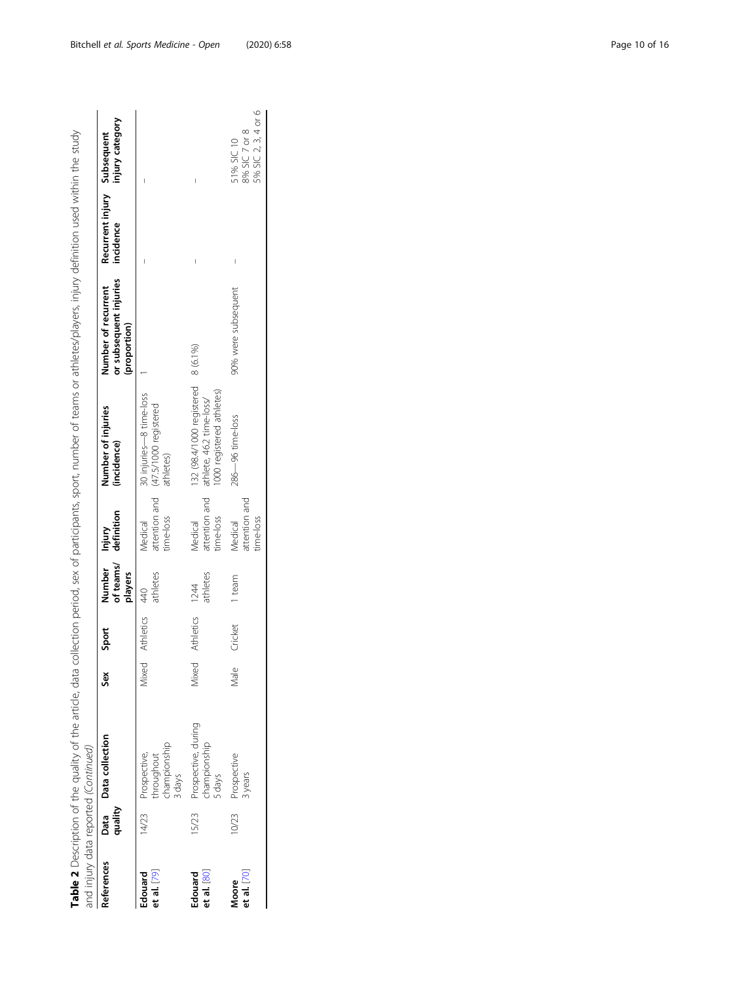| and injury data reported (Continued) |         |                                                            |        |                  |                          |                                       |                                                                                             | Table 2 Description of the quality of the article, data collection period, sex of participants, sport, number of teams or athletes/players, injury definition used within the study |                                          |                                                    |
|--------------------------------------|---------|------------------------------------------------------------|--------|------------------|--------------------------|---------------------------------------|---------------------------------------------------------------------------------------------|-------------------------------------------------------------------------------------------------------------------------------------------------------------------------------------|------------------------------------------|----------------------------------------------------|
| References                           | quality | Data Data collection                                       | Sex    | Sport            | Number Injury<br>players | of teams/ definition                  | Number of injuries<br>(incidence)                                                           | or subsequent injuries<br>Number of recurrent<br>(proportion)                                                                                                                       | Recurrent injury Subsequent<br>incidence | injury category                                    |
| et al. $[79]$<br>Edouard             |         | thampionship<br>14/23 Prospective,<br>throughout<br>3 days | Viixed | <b>Athletics</b> | athletes<br>40           | time-loss<br>Medical                  | 30 injuries-8 time-loss<br>attention and (47.5/1000 registered<br>athletes)                 |                                                                                                                                                                                     |                                          |                                                    |
| et al. $[80]$<br>Edouard             | 15/23   | Prospective, during<br>championship<br>5 days              | Viixed | <b>Athletics</b> | athletes<br>1244         | attention and<br>time-loss<br>Medical | 132 (98.4/1000 registered 8 (6.1%)<br>1000 registered athletes)<br>athlete, 46.2 time-loss/ |                                                                                                                                                                                     |                                          |                                                    |
| et al. $[70]$<br>Moore               | 10/23   | Prospective<br>3 years                                     | Male   | Cricket          | 1 team                   | attention and<br>time-loss<br>Medical | 286-96 time-loss                                                                            | 90% were subsequent                                                                                                                                                                 |                                          | 5% SIC 2, 3, 4 or 6<br>8% SIC 7 or 8<br>51% SIC 10 |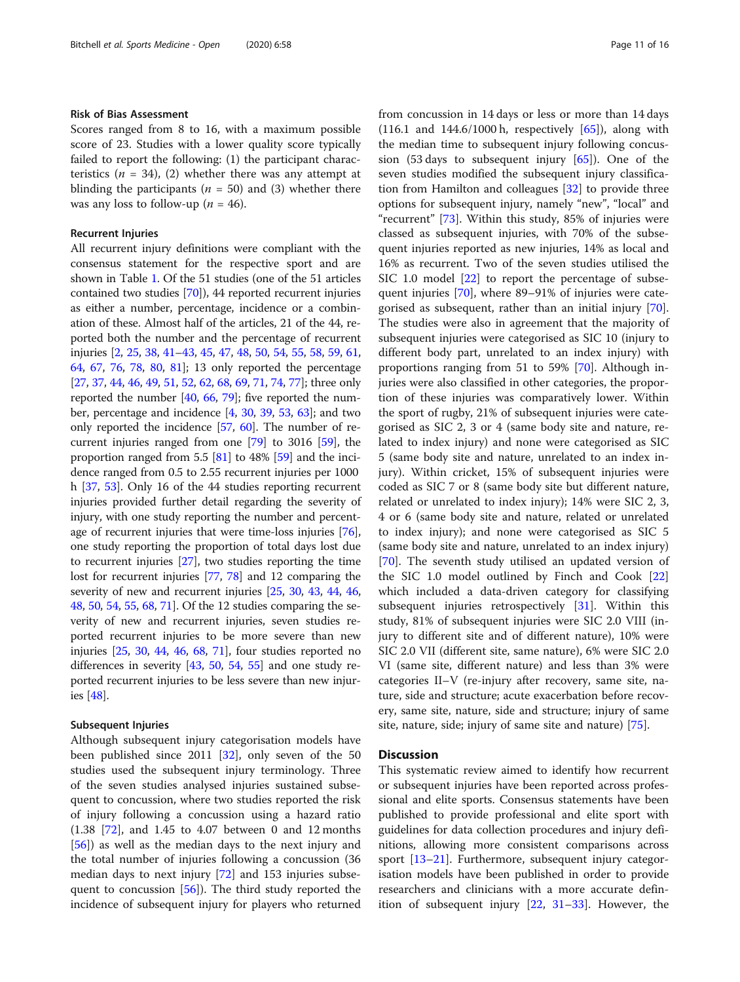#### Risk of Bias Assessment

Scores ranged from 8 to 16, with a maximum possible score of 23. Studies with a lower quality score typically failed to report the following: (1) the participant characteristics ( $n = 34$ ), (2) whether there was any attempt at blinding the participants ( $n = 50$ ) and (3) whether there was any loss to follow-up ( $n = 46$ ).

#### Recurrent Injuries

All recurrent injury definitions were compliant with the consensus statement for the respective sport and are shown in Table [1](#page-3-0). Of the 51 studies (one of the 51 articles contained two studies [\[70\]](#page-15-0)), 44 reported recurrent injuries as either a number, percentage, incidence or a combination of these. Almost half of the articles, 21 of the 44, reported both the number and the percentage of recurrent injuries [\[2](#page-13-0), [25,](#page-13-0) [38](#page-14-0), [41](#page-14-0)–[43](#page-14-0), [45](#page-14-0), [47,](#page-14-0) [48](#page-14-0), [50](#page-14-0), [54,](#page-14-0) [55](#page-14-0), [58](#page-14-0), [59,](#page-14-0) [61](#page-14-0), [64](#page-15-0), [67](#page-15-0), [76](#page-15-0), [78,](#page-15-0) [80,](#page-15-0) [81\]](#page-15-0); 13 only reported the percentage [[27](#page-14-0), [37,](#page-14-0) [44](#page-14-0), [46,](#page-14-0) [49](#page-14-0), [51](#page-14-0), [52,](#page-14-0) [62](#page-14-0), [68,](#page-15-0) [69](#page-15-0), [71](#page-15-0), [74,](#page-15-0) [77](#page-15-0)]; three only reported the number [[40](#page-14-0), [66](#page-15-0), [79\]](#page-15-0); five reported the number, percentage and incidence [\[4,](#page-13-0) [30,](#page-14-0) [39,](#page-14-0) [53,](#page-14-0) [63](#page-14-0)]; and two only reported the incidence [\[57](#page-14-0), [60\]](#page-14-0). The number of recurrent injuries ranged from one [\[79\]](#page-15-0) to 3016 [[59](#page-14-0)], the proportion ranged from 5.5  $[81]$  $[81]$  $[81]$  to 48%  $[59]$  and the incidence ranged from 0.5 to 2.55 recurrent injuries per 1000 h [[37](#page-14-0), [53\]](#page-14-0). Only 16 of the 44 studies reporting recurrent injuries provided further detail regarding the severity of injury, with one study reporting the number and percentage of recurrent injuries that were time-loss injuries [[76](#page-15-0)], one study reporting the proportion of total days lost due to recurrent injuries [\[27\]](#page-14-0), two studies reporting the time lost for recurrent injuries [\[77,](#page-15-0) [78](#page-15-0)] and 12 comparing the severity of new and recurrent injuries [\[25](#page-13-0), [30](#page-14-0), [43,](#page-14-0) [44](#page-14-0), [46](#page-14-0), [48](#page-14-0), [50,](#page-14-0) [54](#page-14-0), [55,](#page-14-0) [68](#page-15-0), [71\]](#page-15-0). Of the 12 studies comparing the severity of new and recurrent injuries, seven studies reported recurrent injuries to be more severe than new injuries [\[25,](#page-13-0) [30](#page-14-0), [44](#page-14-0), [46,](#page-14-0) [68](#page-15-0), [71\]](#page-15-0), four studies reported no differences in severity [[43](#page-14-0), [50,](#page-14-0) [54,](#page-14-0) [55](#page-14-0)] and one study reported recurrent injuries to be less severe than new injuries [[48\]](#page-14-0).

#### Subsequent Injuries

Although subsequent injury categorisation models have been published since 2011 [\[32](#page-14-0)], only seven of the 50 studies used the subsequent injury terminology. Three of the seven studies analysed injuries sustained subsequent to concussion, where two studies reported the risk of injury following a concussion using a hazard ratio (1.38 [[72](#page-15-0)], and 1.45 to 4.07 between 0 and 12 months [[56\]](#page-14-0)) as well as the median days to the next injury and the total number of injuries following a concussion (36 median days to next injury [[72](#page-15-0)] and 153 injuries subsequent to concussion [\[56\]](#page-14-0)). The third study reported the incidence of subsequent injury for players who returned from concussion in 14 days or less or more than 14 days  $(116.1 \text{ and } 144.6/1000 \text{ h}, \text{ respectively } [65])$  $(116.1 \text{ and } 144.6/1000 \text{ h}, \text{ respectively } [65])$  $(116.1 \text{ and } 144.6/1000 \text{ h}, \text{ respectively } [65])$ , along with the median time to subsequent injury following concussion (53 days to subsequent injury  $[65]$  $[65]$  $[65]$ ). One of the seven studies modified the subsequent injury classification from Hamilton and colleagues [[32\]](#page-14-0) to provide three options for subsequent injury, namely "new", "local" and "recurrent"  $[73]$  $[73]$ . Within this study, 85% of injuries were classed as subsequent injuries, with 70% of the subsequent injuries reported as new injuries, 14% as local and 16% as recurrent. Two of the seven studies utilised the SIC 1.0 model [[22\]](#page-13-0) to report the percentage of subsequent injuries [\[70](#page-15-0)], where 89–91% of injuries were categorised as subsequent, rather than an initial injury [\[70](#page-15-0)]. The studies were also in agreement that the majority of subsequent injuries were categorised as SIC 10 (injury to different body part, unrelated to an index injury) with proportions ranging from 51 to 59% [\[70](#page-15-0)]. Although injuries were also classified in other categories, the proportion of these injuries was comparatively lower. Within the sport of rugby, 21% of subsequent injuries were categorised as SIC 2, 3 or 4 (same body site and nature, related to index injury) and none were categorised as SIC 5 (same body site and nature, unrelated to an index injury). Within cricket, 15% of subsequent injuries were coded as SIC 7 or 8 (same body site but different nature, related or unrelated to index injury); 14% were SIC 2, 3, 4 or 6 (same body site and nature, related or unrelated to index injury); and none were categorised as SIC 5 (same body site and nature, unrelated to an index injury) [[70\]](#page-15-0). The seventh study utilised an updated version of the SIC 1.0 model outlined by Finch and Cook [[22](#page-13-0)] which included a data-driven category for classifying subsequent injuries retrospectively [\[31\]](#page-14-0). Within this study, 81% of subsequent injuries were SIC 2.0 VIII (injury to different site and of different nature), 10% were SIC 2.0 VII (different site, same nature), 6% were SIC 2.0 VI (same site, different nature) and less than 3% were categories II–V (re-injury after recovery, same site, nature, side and structure; acute exacerbation before recovery, same site, nature, side and structure; injury of same site, nature, side; injury of same site and nature) [\[75\]](#page-15-0).

#### **Discussion**

This systematic review aimed to identify how recurrent or subsequent injuries have been reported across professional and elite sports. Consensus statements have been published to provide professional and elite sport with guidelines for data collection procedures and injury definitions, allowing more consistent comparisons across sport [\[13](#page-13-0)–[21\]](#page-13-0). Furthermore, subsequent injury categorisation models have been published in order to provide researchers and clinicians with a more accurate definition of subsequent injury [\[22,](#page-13-0) [31](#page-14-0)–[33](#page-14-0)]. However, the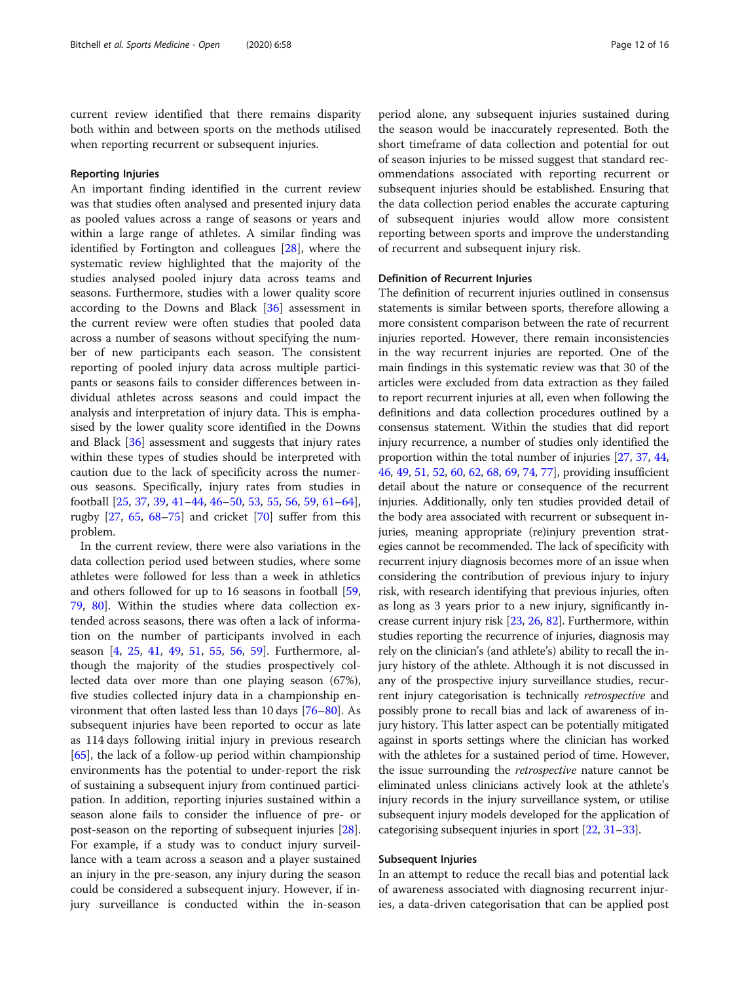current review identified that there remains disparity both within and between sports on the methods utilised when reporting recurrent or subsequent injuries.

#### Reporting Injuries

An important finding identified in the current review was that studies often analysed and presented injury data as pooled values across a range of seasons or years and within a large range of athletes. A similar finding was identified by Fortington and colleagues [\[28](#page-14-0)], where the systematic review highlighted that the majority of the studies analysed pooled injury data across teams and seasons. Furthermore, studies with a lower quality score according to the Downs and Black [[36\]](#page-14-0) assessment in the current review were often studies that pooled data across a number of seasons without specifying the number of new participants each season. The consistent reporting of pooled injury data across multiple participants or seasons fails to consider differences between individual athletes across seasons and could impact the analysis and interpretation of injury data. This is emphasised by the lower quality score identified in the Downs and Black [[36\]](#page-14-0) assessment and suggests that injury rates within these types of studies should be interpreted with caution due to the lack of specificity across the numerous seasons. Specifically, injury rates from studies in football [[25,](#page-13-0) [37](#page-14-0), [39](#page-14-0), [41](#page-14-0)–[44](#page-14-0), [46](#page-14-0)–[50,](#page-14-0) [53,](#page-14-0) [55,](#page-14-0) [56,](#page-14-0) [59,](#page-14-0) [61](#page-14-0)–[64](#page-15-0)], rugby  $[27, 65, 68-75]$  $[27, 65, 68-75]$  $[27, 65, 68-75]$  $[27, 65, 68-75]$  $[27, 65, 68-75]$  $[27, 65, 68-75]$  $[27, 65, 68-75]$  $[27, 65, 68-75]$  and cricket  $[70]$  suffer from this problem.

In the current review, there were also variations in the data collection period used between studies, where some athletes were followed for less than a week in athletics and others followed for up to 16 seasons in football [[59](#page-14-0), [79,](#page-15-0) [80\]](#page-15-0). Within the studies where data collection extended across seasons, there was often a lack of information on the number of participants involved in each season [\[4](#page-13-0), [25,](#page-13-0) [41](#page-14-0), [49,](#page-14-0) [51](#page-14-0), [55,](#page-14-0) [56](#page-14-0), [59](#page-14-0)]. Furthermore, although the majority of the studies prospectively collected data over more than one playing season (67%), five studies collected injury data in a championship environment that often lasted less than 10 days [[76](#page-15-0)–[80\]](#page-15-0). As subsequent injuries have been reported to occur as late as 114 days following initial injury in previous research  $[65]$  $[65]$ , the lack of a follow-up period within championship environments has the potential to under-report the risk of sustaining a subsequent injury from continued participation. In addition, reporting injuries sustained within a season alone fails to consider the influence of pre- or post-season on the reporting of subsequent injuries [\[28](#page-14-0)]. For example, if a study was to conduct injury surveillance with a team across a season and a player sustained an injury in the pre-season, any injury during the season could be considered a subsequent injury. However, if injury surveillance is conducted within the in-season period alone, any subsequent injuries sustained during the season would be inaccurately represented. Both the short timeframe of data collection and potential for out of season injuries to be missed suggest that standard recommendations associated with reporting recurrent or subsequent injuries should be established. Ensuring that the data collection period enables the accurate capturing of subsequent injuries would allow more consistent reporting between sports and improve the understanding of recurrent and subsequent injury risk.

#### Definition of Recurrent Injuries

The definition of recurrent injuries outlined in consensus statements is similar between sports, therefore allowing a more consistent comparison between the rate of recurrent injuries reported. However, there remain inconsistencies in the way recurrent injuries are reported. One of the main findings in this systematic review was that 30 of the articles were excluded from data extraction as they failed to report recurrent injuries at all, even when following the definitions and data collection procedures outlined by a consensus statement. Within the studies that did report injury recurrence, a number of studies only identified the proportion within the total number of injuries [\[27,](#page-14-0) [37,](#page-14-0) [44](#page-14-0), [46](#page-14-0), [49,](#page-14-0) [51](#page-14-0), [52](#page-14-0), [60,](#page-14-0) [62](#page-14-0), [68,](#page-15-0) [69](#page-15-0), [74,](#page-15-0) [77](#page-15-0)], providing insufficient detail about the nature or consequence of the recurrent injuries. Additionally, only ten studies provided detail of the body area associated with recurrent or subsequent injuries, meaning appropriate (re)injury prevention strategies cannot be recommended. The lack of specificity with recurrent injury diagnosis becomes more of an issue when considering the contribution of previous injury to injury risk, with research identifying that previous injuries, often as long as 3 years prior to a new injury, significantly increase current injury risk [[23](#page-13-0), [26,](#page-14-0) [82](#page-15-0)]. Furthermore, within studies reporting the recurrence of injuries, diagnosis may rely on the clinician's (and athlete's) ability to recall the injury history of the athlete. Although it is not discussed in any of the prospective injury surveillance studies, recurrent injury categorisation is technically retrospective and possibly prone to recall bias and lack of awareness of injury history. This latter aspect can be potentially mitigated against in sports settings where the clinician has worked with the athletes for a sustained period of time. However, the issue surrounding the retrospective nature cannot be eliminated unless clinicians actively look at the athlete's injury records in the injury surveillance system, or utilise subsequent injury models developed for the application of categorising subsequent injuries in sport [[22](#page-13-0), [31](#page-14-0)–[33](#page-14-0)].

#### Subsequent Injuries

In an attempt to reduce the recall bias and potential lack of awareness associated with diagnosing recurrent injuries, a data-driven categorisation that can be applied post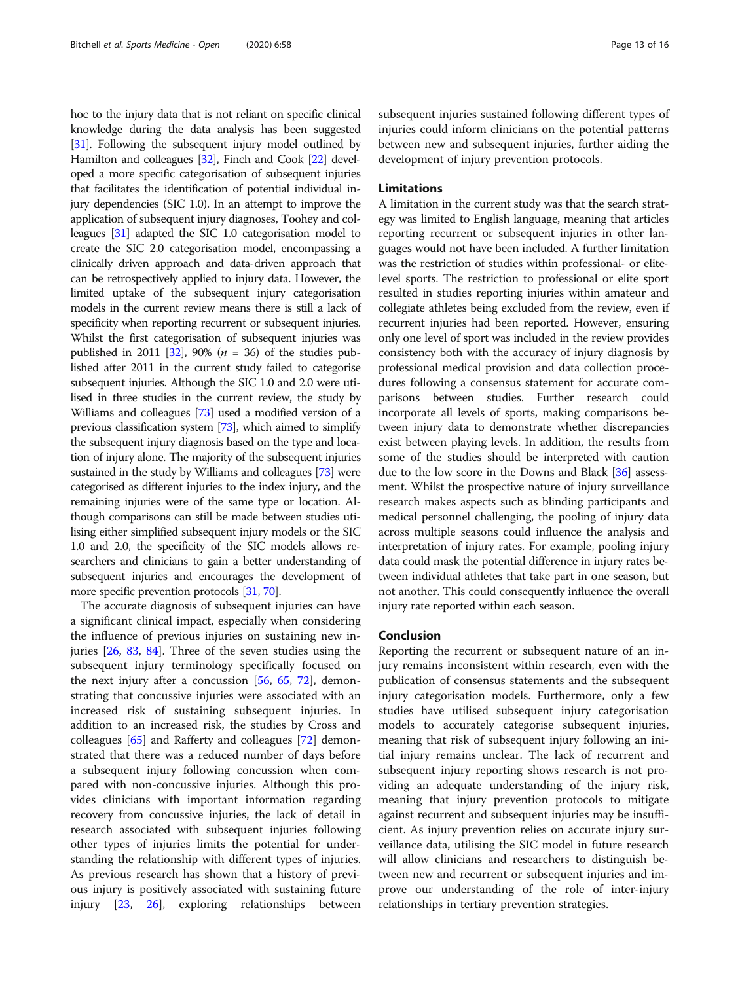hoc to the injury data that is not reliant on specific clinical knowledge during the data analysis has been suggested [[31](#page-14-0)]. Following the subsequent injury model outlined by Hamilton and colleagues [\[32](#page-14-0)], Finch and Cook [\[22](#page-13-0)] developed a more specific categorisation of subsequent injuries that facilitates the identification of potential individual injury dependencies (SIC 1.0). In an attempt to improve the application of subsequent injury diagnoses, Toohey and colleagues [\[31\]](#page-14-0) adapted the SIC 1.0 categorisation model to create the SIC 2.0 categorisation model, encompassing a clinically driven approach and data-driven approach that can be retrospectively applied to injury data. However, the limited uptake of the subsequent injury categorisation models in the current review means there is still a lack of specificity when reporting recurrent or subsequent injuries. Whilst the first categorisation of subsequent injuries was published in 2011 [\[32\]](#page-14-0), 90% ( $n = 36$ ) of the studies published after 2011 in the current study failed to categorise subsequent injuries. Although the SIC 1.0 and 2.0 were utilised in three studies in the current review, the study by Williams and colleagues [[73](#page-15-0)] used a modified version of a previous classification system [[73](#page-15-0)], which aimed to simplify the subsequent injury diagnosis based on the type and location of injury alone. The majority of the subsequent injuries sustained in the study by Williams and colleagues [[73](#page-15-0)] were categorised as different injuries to the index injury, and the remaining injuries were of the same type or location. Although comparisons can still be made between studies utilising either simplified subsequent injury models or the SIC 1.0 and 2.0, the specificity of the SIC models allows researchers and clinicians to gain a better understanding of subsequent injuries and encourages the development of more specific prevention protocols [\[31](#page-14-0), [70](#page-15-0)].

The accurate diagnosis of subsequent injuries can have a significant clinical impact, especially when considering the influence of previous injuries on sustaining new injuries [[26,](#page-14-0) [83,](#page-15-0) [84](#page-15-0)]. Three of the seven studies using the subsequent injury terminology specifically focused on the next injury after a concussion [\[56](#page-14-0), [65](#page-15-0), [72](#page-15-0)], demonstrating that concussive injuries were associated with an increased risk of sustaining subsequent injuries. In addition to an increased risk, the studies by Cross and colleagues [[65\]](#page-15-0) and Rafferty and colleagues [\[72\]](#page-15-0) demonstrated that there was a reduced number of days before a subsequent injury following concussion when compared with non-concussive injuries. Although this provides clinicians with important information regarding recovery from concussive injuries, the lack of detail in research associated with subsequent injuries following other types of injuries limits the potential for understanding the relationship with different types of injuries. As previous research has shown that a history of previous injury is positively associated with sustaining future injury [[23,](#page-13-0) [26\]](#page-14-0), exploring relationships between subsequent injuries sustained following different types of injuries could inform clinicians on the potential patterns between new and subsequent injuries, further aiding the development of injury prevention protocols.

#### Limitations

A limitation in the current study was that the search strategy was limited to English language, meaning that articles reporting recurrent or subsequent injuries in other languages would not have been included. A further limitation was the restriction of studies within professional- or elitelevel sports. The restriction to professional or elite sport resulted in studies reporting injuries within amateur and collegiate athletes being excluded from the review, even if recurrent injuries had been reported. However, ensuring only one level of sport was included in the review provides consistency both with the accuracy of injury diagnosis by professional medical provision and data collection procedures following a consensus statement for accurate comparisons between studies. Further research could incorporate all levels of sports, making comparisons between injury data to demonstrate whether discrepancies exist between playing levels. In addition, the results from some of the studies should be interpreted with caution due to the low score in the Downs and Black [[36](#page-14-0)] assessment. Whilst the prospective nature of injury surveillance research makes aspects such as blinding participants and medical personnel challenging, the pooling of injury data across multiple seasons could influence the analysis and interpretation of injury rates. For example, pooling injury data could mask the potential difference in injury rates between individual athletes that take part in one season, but not another. This could consequently influence the overall injury rate reported within each season.

#### Conclusion

Reporting the recurrent or subsequent nature of an injury remains inconsistent within research, even with the publication of consensus statements and the subsequent injury categorisation models. Furthermore, only a few studies have utilised subsequent injury categorisation models to accurately categorise subsequent injuries, meaning that risk of subsequent injury following an initial injury remains unclear. The lack of recurrent and subsequent injury reporting shows research is not providing an adequate understanding of the injury risk, meaning that injury prevention protocols to mitigate against recurrent and subsequent injuries may be insufficient. As injury prevention relies on accurate injury surveillance data, utilising the SIC model in future research will allow clinicians and researchers to distinguish between new and recurrent or subsequent injuries and improve our understanding of the role of inter-injury relationships in tertiary prevention strategies.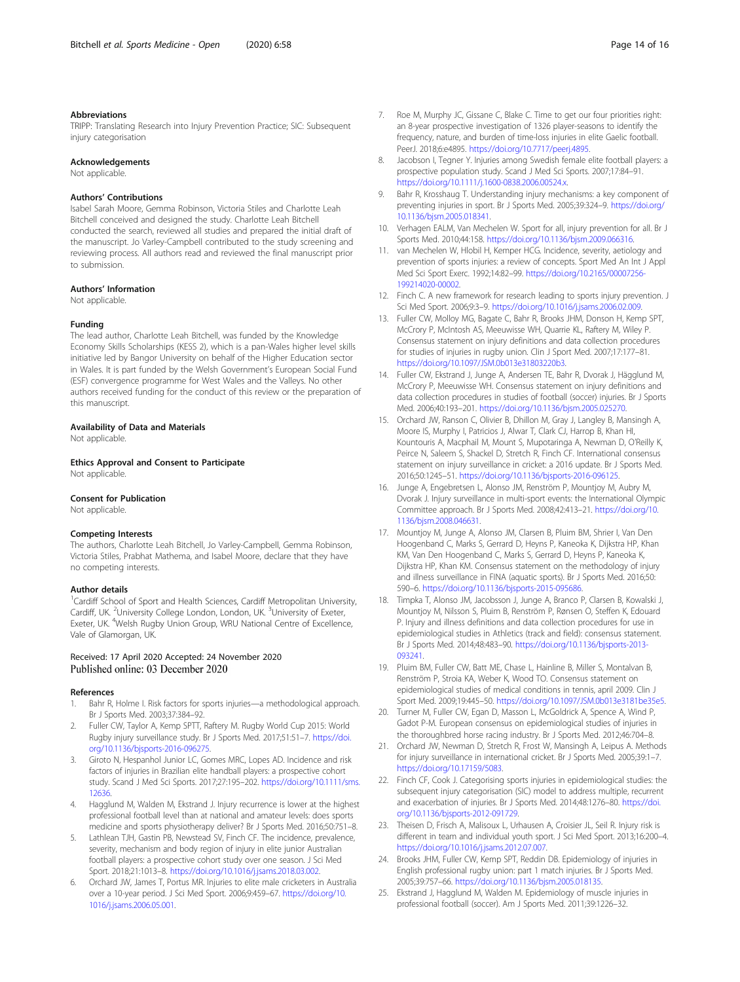#### <span id="page-13-0"></span>Abbreviations

TRIPP: Translating Research into Injury Prevention Practice; SIC: Subsequent injury categorisation

#### Acknowledgements

Not applicable.

#### Authors' Contributions

Isabel Sarah Moore, Gemma Robinson, Victoria Stiles and Charlotte Leah Bitchell conceived and designed the study. Charlotte Leah Bitchell conducted the search, reviewed all studies and prepared the initial draft of the manuscript. Jo Varley-Campbell contributed to the study screening and reviewing process. All authors read and reviewed the final manuscript prior to submission.

#### Authors' Information

Not applicable.

#### Funding

The lead author, Charlotte Leah Bitchell, was funded by the Knowledge Economy Skills Scholarships (KESS 2), which is a pan-Wales higher level skills initiative led by Bangor University on behalf of the Higher Education sector in Wales. It is part funded by the Welsh Government's European Social Fund (ESF) convergence programme for West Wales and the Valleys. No other authors received funding for the conduct of this review or the preparation of this manuscript.

#### Availability of Data and Materials

Not applicable.

Ethics Approval and Consent to Participate

Not applicable

#### Consent for Publication

Not applicable.

#### Competing Interests

The authors, Charlotte Leah Bitchell, Jo Varley-Campbell, Gemma Robinson, Victoria Stiles, Prabhat Mathema, and Isabel Moore, declare that they have no competing interests.

#### Author details

<sup>1</sup>Cardiff School of Sport and Health Sciences, Cardiff Metropolitan University, Cardiff, UK. <sup>2</sup>University College London, London, UK. <sup>3</sup>University of Exeter, Exeter, UK. <sup>4</sup>Welsh Rugby Union Group, WRU National Centre of Excellence, Vale of Glamorgan, UK.

#### Received: 17 April 2020 Accepted: 24 November 2020 Published online: 03 December 2020

#### References

- Bahr R, Holme I. Risk factors for sports injuries—a methodological approach. Br J Sports Med. 2003;37:384–92.
- 2. Fuller CW, Taylor A, Kemp SPTT, Raftery M. Rugby World Cup 2015: World Rugby injury surveillance study. Br J Sports Med. 2017;51:51–7. [https://doi.](https://doi.org/10.1136/bjsports-2016-096275) [org/10.1136/bjsports-2016-096275.](https://doi.org/10.1136/bjsports-2016-096275)
- Giroto N, Hespanhol Junior LC, Gomes MRC, Lopes AD. Incidence and risk factors of injuries in Brazilian elite handball players: a prospective cohort study. Scand J Med Sci Sports. 2017;27:195–202. [https://doi.org/10.1111/sms.](https://doi.org/10.1111/sms.12636) [12636.](https://doi.org/10.1111/sms.12636)
- 4. Hagglund M, Walden M, Ekstrand J. Injury recurrence is lower at the highest professional football level than at national and amateur levels: does sports medicine and sports physiotherapy deliver? Br J Sports Med. 2016;50:751–8.
- 5. Lathlean TJH, Gastin PB, Newstead SV, Finch CF. The incidence, prevalence, severity, mechanism and body region of injury in elite junior Australian football players: a prospective cohort study over one season. J Sci Med Sport. 2018;21:1013–8. [https://doi.org/10.1016/j.jsams.2018.03.002.](https://doi.org/10.1016/j.jsams.2018.03.002)
- 6. Orchard JW, James T, Portus MR. Injuries to elite male cricketers in Australia over a 10-year period. J Sci Med Sport. 2006;9:459–67. [https://doi.org/10.](https://doi.org/10.1016/j.jsams.2006.05.001) [1016/j.jsams.2006.05.001](https://doi.org/10.1016/j.jsams.2006.05.001).
- 7. Roe M, Murphy JC, Gissane C, Blake C. Time to get our four priorities right: an 8-year prospective investigation of 1326 player-seasons to identify the frequency, nature, and burden of time-loss injuries in elite Gaelic football. PeerJ. 2018;6:e4895. <https://doi.org/10.7717/peerj.4895>.
- 8. Jacobson I, Tegner Y. Injuries among Swedish female elite football players: a prospective population study. Scand J Med Sci Sports. 2007;17:84–91. <https://doi.org/10.1111/j.1600-0838.2006.00524.x>.
- 9. Bahr R, Krosshaug T. Understanding injury mechanisms: a key component of preventing injuries in sport. Br J Sports Med. 2005;39:324–9. [https://doi.org/](https://doi.org/10.1136/bjsm.2005.018341) [10.1136/bjsm.2005.018341](https://doi.org/10.1136/bjsm.2005.018341).
- 10. Verhagen EALM, Van Mechelen W. Sport for all, injury prevention for all. Br J Sports Med. 2010;44:158. [https://doi.org/10.1136/bjsm.2009.066316.](https://doi.org/10.1136/bjsm.2009.066316)
- 11. van Mechelen W, Hlobil H, Kemper HCG. Incidence, severity, aetiology and prevention of sports injuries: a review of concepts. Sport Med An Int J Appl Med Sci Sport Exerc. 1992;14:82–99. [https://doi.org/10.2165/00007256-](https://doi.org/10.2165/00007256-199214020-00002) [199214020-00002.](https://doi.org/10.2165/00007256-199214020-00002)
- 12. Finch C. A new framework for research leading to sports injury prevention. J Sci Med Sport. 2006;9:3–9. <https://doi.org/10.1016/j.jsams.2006.02.009>.
- 13. Fuller CW, Molloy MG, Bagate C, Bahr R, Brooks JHM, Donson H, Kemp SPT, McCrory P, McIntosh AS, Meeuwisse WH, Quarrie KL, Raftery M, Wiley P. Consensus statement on injury definitions and data collection procedures for studies of injuries in rugby union. Clin J Sport Med. 2007;17:177–81. [https://doi.org/10.1097/JSM.0b013e31803220b3.](https://doi.org/10.1097/JSM.0b013e31803220b3)
- 14. Fuller CW, Ekstrand J, Junge A, Andersen TE, Bahr R, Dvorak J, Hägglund M, McCrory P, Meeuwisse WH. Consensus statement on injury definitions and data collection procedures in studies of football (soccer) injuries. Br J Sports Med. 2006;40:193–201. <https://doi.org/10.1136/bjsm.2005.025270>.
- 15. Orchard JW, Ranson C, Olivier B, Dhillon M, Gray J, Langley B, Mansingh A, Moore IS, Murphy I, Patricios J, Alwar T, Clark CJ, Harrop B, Khan HI, Kountouris A, Macphail M, Mount S, Mupotaringa A, Newman D, O'Reilly K, Peirce N, Saleem S, Shackel D, Stretch R, Finch CF. International consensus statement on injury surveillance in cricket: a 2016 update. Br J Sports Med. 2016;50:1245–51. [https://doi.org/10.1136/bjsports-2016-096125.](https://doi.org/10.1136/bjsports-2016-096125)
- 16. Junge A, Engebretsen L, Alonso JM, Renström P, Mountjoy M, Aubry M, Dvorak J. Injury surveillance in multi-sport events: the International Olympic Committee approach. Br J Sports Med. 2008;42:413–21. [https://doi.org/10.](https://doi.org/10.1136/bjsm.2008.046631) [1136/bjsm.2008.046631](https://doi.org/10.1136/bjsm.2008.046631).
- 17. Mountjoy M, Junge A, Alonso JM, Clarsen B, Pluim BM, Shrier I, Van Den Hoogenband C, Marks S, Gerrard D, Heyns P, Kaneoka K, Dijkstra HP, Khan KM, Van Den Hoogenband C, Marks S, Gerrard D, Heyns P, Kaneoka K, Dijkstra HP, Khan KM. Consensus statement on the methodology of injury and illness surveillance in FINA (aquatic sports). Br J Sports Med. 2016;50: 590–6. <https://doi.org/10.1136/bjsports-2015-095686>.
- 18. Timpka T, Alonso JM, Jacobsson J, Junge A, Branco P, Clarsen B, Kowalski J, Mountjoy M, Nilsson S, Pluim B, Renström P, Rønsen O, Steffen K, Edouard P. Injury and illness definitions and data collection procedures for use in epidemiological studies in Athletics (track and field): consensus statement. Br J Sports Med. 2014;48:483–90. [https://doi.org/10.1136/bjsports-2013-](https://doi.org/10.1136/bjsports-2013-093241) [093241](https://doi.org/10.1136/bjsports-2013-093241).
- 19. Pluim BM, Fuller CW, Batt ME, Chase L, Hainline B, Miller S, Montalvan B, Renström P, Stroia KA, Weber K, Wood TO. Consensus statement on epidemiological studies of medical conditions in tennis, april 2009. Clin J Sport Med. 2009;19:445–50. [https://doi.org/10.1097/JSM.0b013e3181be35e5.](https://doi.org/10.1097/JSM.0b013e3181be35e5)
- 20. Turner M, Fuller CW, Egan D, Masson L, McGoldrick A, Spence A, Wind P, Gadot P-M. European consensus on epidemiological studies of injuries in the thoroughbred horse racing industry. Br J Sports Med. 2012;46:704–8.
- 21. Orchard JW, Newman D, Stretch R, Frost W, Mansingh A, Leipus A. Methods for injury surveillance in international cricket. Br J Sports Med. 2005;39:1–7. [https://doi.org/10.17159/5083.](https://doi.org/10.17159/5083)
- 22. Finch CF, Cook J. Categorising sports injuries in epidemiological studies: the subsequent injury categorisation (SIC) model to address multiple, recurrent and exacerbation of injuries. Br J Sports Med. 2014;48:1276–80. [https://doi.](https://doi.org/10.1136/bjsports-2012-091729) [org/10.1136/bjsports-2012-091729.](https://doi.org/10.1136/bjsports-2012-091729)
- 23. Theisen D, Frisch A, Malisoux L, Urhausen A, Croisier JL, Seil R. Injury risk is different in team and individual youth sport. J Sci Med Sport. 2013;16:200–4. [https://doi.org/10.1016/j.jsams.2012.07.007.](https://doi.org/10.1016/j.jsams.2012.07.007)
- 24. Brooks JHM, Fuller CW, Kemp SPT, Reddin DB. Epidemiology of injuries in English professional rugby union: part 1 match injuries. Br J Sports Med. 2005;39:757–66. [https://doi.org/10.1136/bjsm.2005.018135.](https://doi.org/10.1136/bjsm.2005.018135)
- 25. Ekstrand J, Hagglund M, Walden M. Epidemiology of muscle injuries in professional football (soccer). Am J Sports Med. 2011;39:1226–32.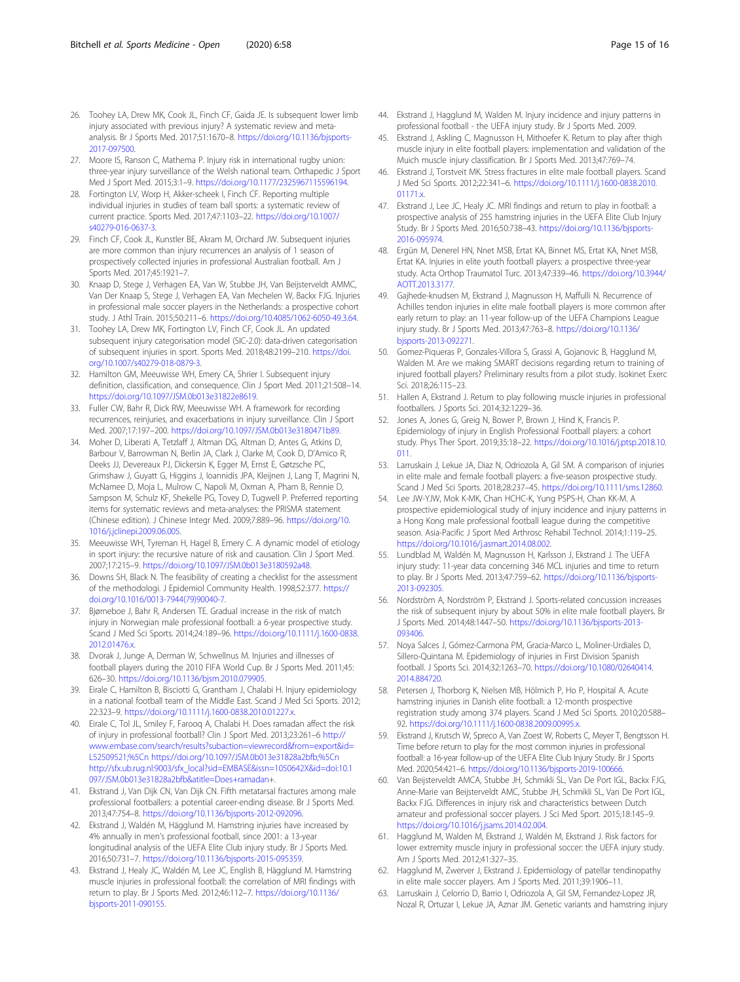- <span id="page-14-0"></span>26. Toohey LA, Drew MK, Cook JL, Finch CF, Gaida JE. Is subsequent lower limb injury associated with previous injury? A systematic review and metaanalysis. Br J Sports Med. 2017;51:1670–8. [https://doi.org/10.1136/bjsports-](https://doi.org/10.1136/bjsports-2017-097500)[2017-097500.](https://doi.org/10.1136/bjsports-2017-097500)
- 27. Moore IS, Ranson C, Mathema P. Injury risk in international rugby union: three-year injury surveillance of the Welsh national team. Orthapedic J Sport Med J Sport Med. 2015;3:1–9. <https://doi.org/10.1177/2325967115596194>.
- 28. Fortington LV, Worp H, Akker-scheek I, Finch CF. Reporting multiple individual injuries in studies of team ball sports: a systematic review of current practice. Sports Med. 2017;47:1103–22. [https://doi.org/10.1007/](https://doi.org/10.1007/s40279-016-0637-3) [s40279-016-0637-3.](https://doi.org/10.1007/s40279-016-0637-3)
- 29. Finch CF, Cook JL, Kunstler BE, Akram M, Orchard JW. Subsequent injuries are more common than injury recurrences an analysis of 1 season of prospectively collected injuries in professional Australian football. Am J Sports Med. 2017;45:1921–7.
- 30. Knaap D, Stege J, Verhagen EA, Van W, Stubbe JH, Van Beijsterveldt AMMC, Van Der Knaap S, Stege J, Verhagen EA, Van Mechelen W, Backx FJG. Injuries in professional male soccer players in the Netherlands: a prospective cohort study. J Athl Train. 2015;50:211–6. <https://doi.org/10.4085/1062-6050-49.3.64>.
- 31. Toohey LA, Drew MK, Fortington LV, Finch CF, Cook JL. An updated subsequent injury categorisation model (SIC-2.0): data-driven categorisation of subsequent injuries in sport. Sports Med. 2018;48:2199–210. [https://doi.](https://doi.org/10.1007/s40279-018-0879-3) [org/10.1007/s40279-018-0879-3](https://doi.org/10.1007/s40279-018-0879-3).
- 32. Hamilton GM, Meeuwisse WH, Emery CA, Shrier I. Subsequent injury definition, classification, and consequence. Clin J Sport Med. 2011;21:508–14. <https://doi.org/10.1097/JSM.0b013e31822e8619>.
- 33. Fuller CW, Bahr R, Dick RW, Meeuwisse WH. A framework for recording recurrences, reinjuries, and exacerbations in injury surveillance. Clin J Sport Med. 2007;17:197–200. <https://doi.org/10.1097/JSM.0b013e3180471b89>.
- 34. Moher D, Liberati A, Tetzlaff J, Altman DG, Altman D, Antes G, Atkins D, Barbour V, Barrowman N, Berlin JA, Clark J, Clarke M, Cook D, D'Amico R, Deeks JJ, Devereaux PJ, Dickersin K, Egger M, Ernst E, Gøtzsche PC, Grimshaw J, Guyatt G, Higgins J, Ioannidis JPA, Kleijnen J, Lang T, Magrini N, McNamee D, Moja L, Mulrow C, Napoli M, Oxman A, Pham B, Rennie D, Sampson M, Schulz KF, Shekelle PG, Tovey D, Tugwell P. Preferred reporting items for systematic reviews and meta-analyses: the PRISMA statement (Chinese edition). J Chinese Integr Med. 2009;7:889–96. [https://doi.org/10.](https://doi.org/10.1016/j.jclinepi.2009.06.005) [1016/j.jclinepi.2009.06.005.](https://doi.org/10.1016/j.jclinepi.2009.06.005)
- 35. Meeuwisse WH, Tyreman H, Hagel B, Emery C. A dynamic model of etiology in sport injury: the recursive nature of risk and causation. Clin J Sport Med. 2007;17:215–9. [https://doi.org/10.1097/JSM.0b013e3180592a48.](https://doi.org/10.1097/JSM.0b013e3180592a48)
- 36. Downs SH, Black N. The feasibility of creating a checklist for the assessment of the methodologi. J Epidemiol Community Health. 1998;52:377. [https://](https://doi.org/10.1016/0013-7944(79)90040-7) [doi.org/10.1016/0013-7944\(79\)90040-7.](https://doi.org/10.1016/0013-7944(79)90040-7)
- 37. Bjørneboe J, Bahr R, Andersen TE. Gradual increase in the risk of match injury in Norwegian male professional football: a 6-year prospective study. Scand J Med Sci Sports. 2014;24:189–96. [https://doi.org/10.1111/j.1600-0838.](https://doi.org/10.1111/j.1600-0838.2012.01476.x) [2012.01476.x.](https://doi.org/10.1111/j.1600-0838.2012.01476.x)
- 38. Dvorak J, Junge A, Derman W, Schwellnus M. Injuries and illnesses of football players during the 2010 FIFA World Cup. Br J Sports Med. 2011;45: 626–30. <https://doi.org/10.1136/bjsm.2010.079905>.
- 39. Eirale C, Hamilton B, Bisciotti G, Grantham J, Chalabi H. Injury epidemiology in a national football team of the Middle East. Scand J Med Sci Sports. 2012; 22:323–9. [https://doi.org/10.1111/j.1600-0838.2010.01227.x.](https://doi.org/10.1111/j.1600-0838.2010.01227.x)
- 40. Eirale C, Tol JL, Smiley F, Farooq A, Chalabi H. Does ramadan affect the risk of injury in professional football? Clin J Sport Med. 2013;23:261–6 [http://](http://www.embase.com/search/results?subaction=viewrecord&from=export&id=L52509521;%5Cn) [www.embase.com/search/results?subaction=viewrecord&from=export&id=](http://www.embase.com/search/results?subaction=viewrecord&from=export&id=L52509521;%5Cn) [L52509521;%5Cn](http://www.embase.com/search/results?subaction=viewrecord&from=export&id=L52509521;%5Cn)<https://doi.org/10.1097/JSM.0b013e31828a2bfb;%5Cn> [http://sfx.ub.rug.nl:9003/sfx\\_local?sid=EMBASE&issn=1050642X&id=doi:10.1](http://sfx.ub.rug.nl:9003/sfx_local?sid=EMBASE&issn=1050642X&id=doi:10.1097/JSM.0b013e31828a2bfb&atitle=Does+ramadan) [097/JSM.0b013e31828a2bfb&atitle=Does+ramadan+](http://sfx.ub.rug.nl:9003/sfx_local?sid=EMBASE&issn=1050642X&id=doi:10.1097/JSM.0b013e31828a2bfb&atitle=Does+ramadan).
- 41. Ekstrand J, Van Dijk CN, Van Dijk CN. Fifth metatarsal fractures among male professional footballers: a potential career-ending disease. Br J Sports Med. 2013;47:754–8. [https://doi.org/10.1136/bjsports-2012-092096.](https://doi.org/10.1136/bjsports-2012-092096)
- 42. Ekstrand J, Waldén M, Hägglund M. Hamstring injuries have increased by 4% annually in men's professional football, since 2001: a 13-year longitudinal analysis of the UEFA Elite Club injury study. Br J Sports Med. 2016;50:731–7. [https://doi.org/10.1136/bjsports-2015-095359.](https://doi.org/10.1136/bjsports-2015-095359)
- 43. Ekstrand J, Healy JC, Waldén M, Lee JC, English B, Hägglund M. Hamstring muscle injuries in professional football: the correlation of MRI findings with return to play. Br J Sports Med. 2012;46:112–7. [https://doi.org/10.1136/](https://doi.org/10.1136/bjsports-2011-090155) [bjsports-2011-090155](https://doi.org/10.1136/bjsports-2011-090155).
- 44. Ekstrand J, Hagglund M, Walden M. Injury incidence and injury patterns in professional football - the UEFA injury study. Br J Sports Med. 2009.
- 45. Ekstrand J, Askling C, Magnusson H, Mithoefer K. Return to play after thigh muscle injury in elite football players: implementation and validation of the Muich muscle injury classification. Br J Sports Med. 2013;47:769–74.
- 46. Ekstrand J, Torstveit MK. Stress fractures in elite male football players. Scand J Med Sci Sports. 2012;22:341–6. [https://doi.org/10.1111/j.1600-0838.2010.](https://doi.org/10.1111/j.1600-0838.2010.01171.x)  $01171x$
- 47. Ekstrand J, Lee JC, Healy JC, MRI findings and return to play in football: a prospective analysis of 255 hamstring injuries in the UEFA Elite Club Injury Study. Br J Sports Med. 2016;50:738–43. [https://doi.org/10.1136/bjsports-](https://doi.org/10.1136/bjsports-2016-095974)[2016-095974.](https://doi.org/10.1136/bjsports-2016-095974)
- 48. Ergün M, Denerel HN, Nnet MSB, Ertat KA, Binnet MS, Ertat KA, Nnet MSB, Ertat KA. Injuries in elite youth football players: a prospective three-year study. Acta Orthop Traumatol Turc. 2013;47:339–46. [https://doi.org/10.3944/](https://doi.org/10.3944/AOTT.2013.3177) [AOTT.2013.3177.](https://doi.org/10.3944/AOTT.2013.3177)
- 49. Gajhede-knudsen M, Ekstrand J, Magnusson H, Maffulli N. Recurrence of Achilles tendon injuries in elite male football players is more common after early return to play: an 11-year follow-up of the UEFA Champions League injury study. Br J Sports Med. 2013;47:763–8. [https://doi.org/10.1136/](https://doi.org/10.1136/bjsports-2013-092271) [bjsports-2013-092271](https://doi.org/10.1136/bjsports-2013-092271).
- 50. Gomez-Piqueras P, Gonzales-Villora S, Grassi A, Gojanovic B, Hagglund M, Walden M. Are we making SMART decisions regarding return to training of injured football players? Preliminary results from a pilot study. Isokinet Exerc Sci. 2018;26:115–23.
- 51. Hallen A, Ekstrand J. Return to play following muscle injuries in professional footballers. J Sports Sci. 2014;32:1229–36.
- 52. Jones A, Jones G, Greig N, Bower P, Brown J, Hind K, Francis P. Epidemiology of injury in English Professional Football players: a cohort study. Phys Ther Sport. 2019;35:18–22. [https://doi.org/10.1016/j.ptsp.2018.10.](https://doi.org/10.1016/j.ptsp.2018.10.011) [011.](https://doi.org/10.1016/j.ptsp.2018.10.011)
- 53. Larruskain J, Lekue JA, Diaz N, Odriozola A, Gil SM. A comparison of injuries in elite male and female football players: a five-season prospective study. Scand J Med Sci Sports. 2018;28:237–45. [https://doi.org/10.1111/sms.12860.](https://doi.org/10.1111/sms.12860)
- 54. Lee JW-YJW, Mok K-MK, Chan HCHC-K, Yung PSPS-H, Chan KK-M. A prospective epidemiological study of injury incidence and injury patterns in a Hong Kong male professional football league during the competitive season. Asia-Pacific J Sport Med Arthrosc Rehabil Technol. 2014;1:119–25. [https://doi.org/10.1016/j.asmart.2014.08.002.](https://doi.org/10.1016/j.asmart.2014.08.002)
- 55. Lundblad M, Waldén M, Magnusson H, Karlsson J, Ekstrand J. The UEFA injury study: 11-year data concerning 346 MCL injuries and time to return to play. Br J Sports Med. 2013;47:759–62. [https://doi.org/10.1136/bjsports-](https://doi.org/10.1136/bjsports-2013-092305)[2013-092305.](https://doi.org/10.1136/bjsports-2013-092305)
- 56. Nordström A, Nordström P, Ekstrand J. Sports-related concussion increases the risk of subsequent injury by about 50% in elite male football players. Br J Sports Med. 2014;48:1447–50. [https://doi.org/10.1136/bjsports-2013-](https://doi.org/10.1136/bjsports-2013-093406) [093406](https://doi.org/10.1136/bjsports-2013-093406).
- 57. Noya Salces J, Gómez-Carmona PM, Gracia-Marco L, Moliner-Urdiales D, Sillero-Quintana M. Epidemiology of injuries in First Division Spanish football. J Sports Sci. 2014;32:1263–70. [https://doi.org/10.1080/02640414.](https://doi.org/10.1080/02640414.2014.884720) [2014.884720](https://doi.org/10.1080/02640414.2014.884720).
- Petersen J, Thorborg K, Nielsen MB, Hölmich P, Ho P, Hospital A. Acute hamstring injuries in Danish elite football: a 12-month prospective registration study among 374 players. Scand J Med Sci Sports. 2010;20:588– 92. <https://doi.org/10.1111/j.1600-0838.2009.00995.x>.
- 59. Ekstrand J, Krutsch W, Spreco A, Van Zoest W, Roberts C, Meyer T, Bengtsson H. Time before return to play for the most common injuries in professional football: a 16-year follow-up of the UEFA Elite Club Injury Study. Br J Sports Med. 2020;54:421–6. <https://doi.org/10.1136/bjsports-2019-100666>.
- 60. Van Beijsterveldt AMCA, Stubbe JH, Schmikli SL, Van De Port IGL, Backx FJG, Anne-Marie van Beijsterveldt AMC, Stubbe JH, Schmikli SL, Van De Port IGL, Backx FJG. Differences in injury risk and characteristics between Dutch amateur and professional soccer players. J Sci Med Sport. 2015;18:145–9. [https://doi.org/10.1016/j.jsams.2014.02.004.](https://doi.org/10.1016/j.jsams.2014.02.004)
- 61. Hagglund M, Walden M, Ekstrand J, Waldén M, Ekstrand J. Risk factors for lower extremity muscle injury in professional soccer: the UEFA injury study. Am J Sports Med. 2012;41:327–35.
- 62. Hagglund M, Zwerver J, Ekstrand J. Epidemiology of patellar tendinopathy in elite male soccer players. Am J Sports Med. 2011;39:1906–11.
- 63. Larruskain J, Celorrio D, Barrio I, Odriozola A, Gil SM, Fernandez-Lopez JR, Nozal R, Ortuzar I, Lekue JA, Aznar JM. Genetic variants and hamstring injury